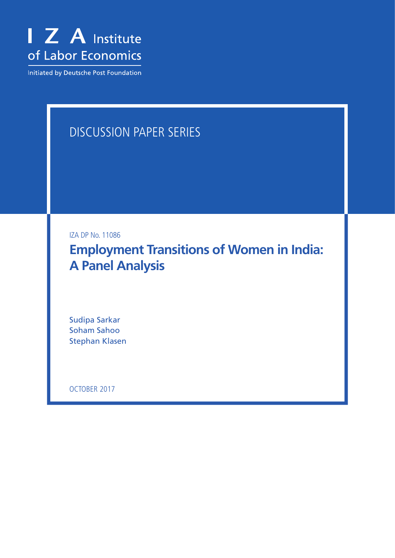

Initiated by Deutsche Post Foundation

# DISCUSSION PAPER SERIES

IZA DP No. 11086

**Employment Transitions of Women in India: A Panel Analysis**

Sudipa Sarkar Soham Sahoo Stephan Klasen

OCTOBER 2017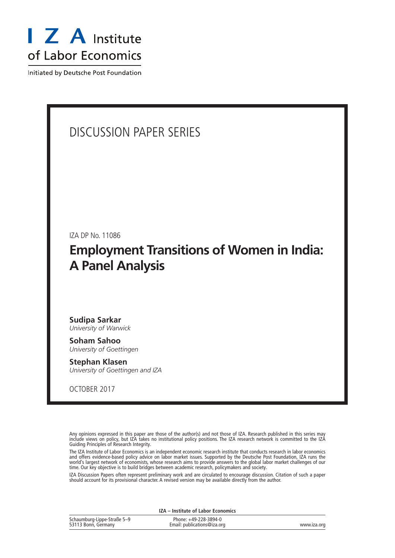

Initiated by Deutsche Post Foundation

## DISCUSSION PAPER SERIES

IZA DP No. 11086

## **Employment Transitions of Women in India: A Panel Analysis**

**Sudipa Sarkar** *University of Warwick*

**Soham Sahoo** *University of Goettingen*

**Stephan Klasen** *University of Goettingen and IZA*

OCTOBER 2017

Any opinions expressed in this paper are those of the author(s) and not those of IZA. Research published in this series may include views on policy, but IZA takes no institutional policy positions. The IZA research network is committed to the IZA Guiding Principles of Research Integrity.

The IZA Institute of Labor Economics is an independent economic research institute that conducts research in labor economics and offers evidence-based policy advice on labor market issues. Supported by the Deutsche Post Foundation, IZA runs the world's largest network of economists, whose research aims to provide answers to the global labor market challenges of our time. Our key objective is to build bridges between academic research, policymakers and society.

IZA Discussion Papers often represent preliminary work and are circulated to encourage discussion. Citation of such a paper should account for its provisional character. A revised version may be available directly from the author.

|                                                    | IZA – Institute of Labor Economics                   |             |
|----------------------------------------------------|------------------------------------------------------|-------------|
| Schaumburg-Lippe-Straße 5–9<br>53113 Bonn, Germany | Phone: +49-228-3894-0<br>Email: publications@iza.org | www.iza.org |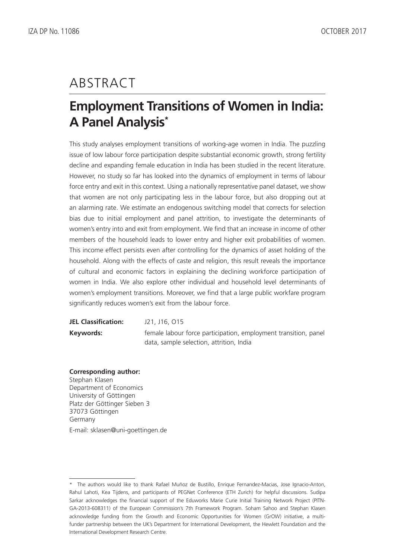# ABSTRACT

# **Employment Transitions of Women in India: A Panel Analysis\***

This study analyses employment transitions of working-age women in India. The puzzling issue of low labour force participation despite substantial economic growth, strong fertility decline and expanding female education in India has been studied in the recent literature. However, no study so far has looked into the dynamics of employment in terms of labour force entry and exit in this context. Using a nationally representative panel dataset, we show that women are not only participating less in the labour force, but also dropping out at an alarming rate. We estimate an endogenous switching model that corrects for selection bias due to initial employment and panel attrition, to investigate the determinants of women's entry into and exit from employment. We find that an increase in income of other members of the household leads to lower entry and higher exit probabilities of women. This income effect persists even after controlling for the dynamics of asset holding of the household. Along with the effects of caste and religion, this result reveals the importance of cultural and economic factors in explaining the declining workforce participation of women in India. We also explore other individual and household level determinants of women's employment transitions. Moreover, we find that a large public workfare program significantly reduces women's exit from the labour force.

**JEL Classification:** J21, J16, O15 **Keywords:** female labour force participation, employment transition, panel data, sample selection, attrition, India

## **Corresponding author:**

Stephan Klasen Department of Economics University of Göttingen Platz der Göttinger Sieben 3 37073 Göttingen Germany E-mail: sklasen@uni-goettingen.de

<sup>\*</sup> The authors would like to thank Rafael Muñoz de Bustillo, Enrique Fernandez-Macias, Jose Ignacio-Anton, Rahul Lahoti, Kea Tijdens, and participants of PEGNet Conference (ETH Zurich) for helpful discussions. Sudipa Sarkar acknowledges the financial support of the Eduworks Marie Curie Initial Training Network Project (PITN-GA-2013-608311) of the European Commission's 7th Framework Program. Soham Sahoo and Stephan Klasen acknowledge funding from the Growth and Economic Opportunities for Women (GrOW) initiative, a multifunder partnership between the UK's Department for International Development, the Hewlett Foundation and the International Development Research Centre.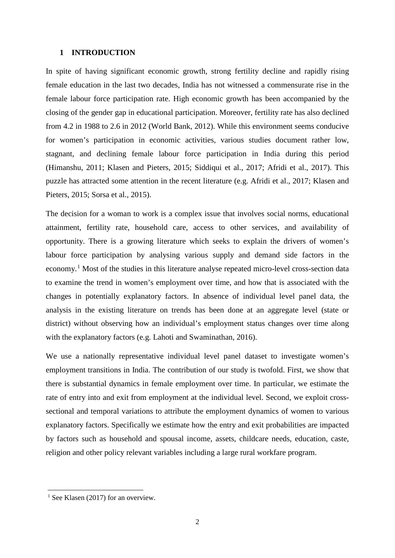### **1 INTRODUCTION**

In spite of having significant economic growth, strong fertility decline and rapidly rising female education in the last two decades, India has not witnessed a commensurate rise in the female labour force participation rate. High economic growth has been accompanied by the closing of the gender gap in educational participation. Moreover, fertility rate has also declined from 4.2 in 1988 to 2.6 in 2012 (World Bank, 2012). While this environment seems conducive for women's participation in economic activities, various studies document rather low, stagnant, and declining female labour force participation in India during this period (Himanshu, 2011; Klasen and Pieters, 2015; Siddiqui et al., 2017; Afridi et al., 2017). This puzzle has attracted some attention in the recent literature (e.g. Afridi et al., 2017; Klasen and Pieters, 2015; Sorsa et al., 2015).

The decision for a woman to work is a complex issue that involves social norms, educational attainment, fertility rate, household care, access to other services, and availability of opportunity. There is a growing literature which seeks to explain the drivers of women's labour force participation by analysing various supply and demand side factors in the economy.[1](#page-3-0) Most of the studies in this literature analyse repeated micro-level cross-section data to examine the trend in women's employment over time, and how that is associated with the changes in potentially explanatory factors. In absence of individual level panel data, the analysis in the existing literature on trends has been done at an aggregate level (state or district) without observing how an individual's employment status changes over time along with the explanatory factors (e.g. Lahoti and Swaminathan, 2016).

We use a nationally representative individual level panel dataset to investigate women's employment transitions in India. The contribution of our study is twofold. First, we show that there is substantial dynamics in female employment over time. In particular, we estimate the rate of entry into and exit from employment at the individual level. Second, we exploit crosssectional and temporal variations to attribute the employment dynamics of women to various explanatory factors. Specifically we estimate how the entry and exit probabilities are impacted by factors such as household and spousal income, assets, childcare needs, education, caste, religion and other policy relevant variables including a large rural workfare program.

<u>.</u>

<span id="page-3-0"></span><sup>&</sup>lt;sup>1</sup> See Klasen (2017) for an overview.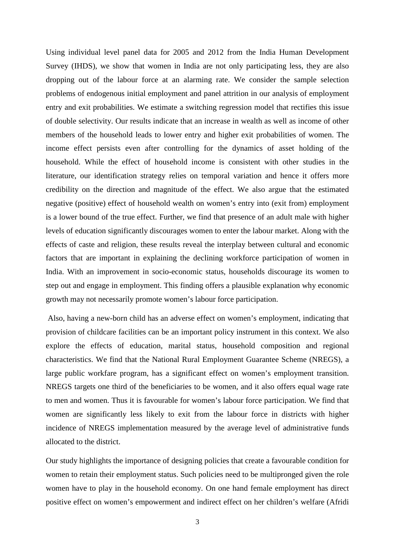Using individual level panel data for 2005 and 2012 from the India Human Development Survey (IHDS), we show that women in India are not only participating less, they are also dropping out of the labour force at an alarming rate. We consider the sample selection problems of endogenous initial employment and panel attrition in our analysis of employment entry and exit probabilities. We estimate a switching regression model that rectifies this issue of double selectivity. Our results indicate that an increase in wealth as well as income of other members of the household leads to lower entry and higher exit probabilities of women. The income effect persists even after controlling for the dynamics of asset holding of the household. While the effect of household income is consistent with other studies in the literature, our identification strategy relies on temporal variation and hence it offers more credibility on the direction and magnitude of the effect. We also argue that the estimated negative (positive) effect of household wealth on women's entry into (exit from) employment is a lower bound of the true effect. Further, we find that presence of an adult male with higher levels of education significantly discourages women to enter the labour market. Along with the effects of caste and religion, these results reveal the interplay between cultural and economic factors that are important in explaining the declining workforce participation of women in India. With an improvement in socio-economic status, households discourage its women to step out and engage in employment. This finding offers a plausible explanation why economic growth may not necessarily promote women's labour force participation.

Also, having a new-born child has an adverse effect on women's employment, indicating that provision of childcare facilities can be an important policy instrument in this context. We also explore the effects of education, marital status, household composition and regional characteristics. We find that the National Rural Employment Guarantee Scheme (NREGS), a large public workfare program, has a significant effect on women's employment transition. NREGS targets one third of the beneficiaries to be women, and it also offers equal wage rate to men and women. Thus it is favourable for women's labour force participation. We find that women are significantly less likely to exit from the labour force in districts with higher incidence of NREGS implementation measured by the average level of administrative funds allocated to the district.

Our study highlights the importance of designing policies that create a favourable condition for women to retain their employment status. Such policies need to be multipronged given the role women have to play in the household economy. On one hand female employment has direct positive effect on women's empowerment and indirect effect on her children's welfare (Afridi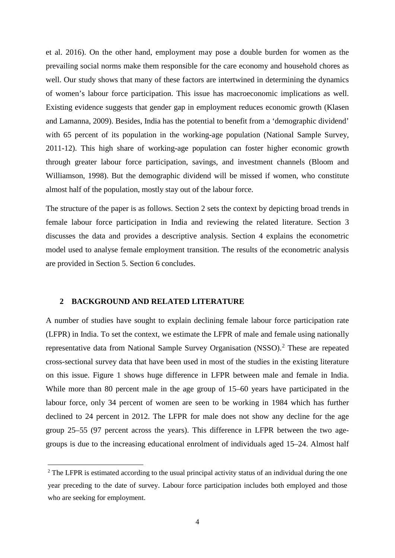et al. 2016). On the other hand, employment may pose a double burden for women as the prevailing social norms make them responsible for the care economy and household chores as well. Our study shows that many of these factors are intertwined in determining the dynamics of women's labour force participation. This issue has macroeconomic implications as well. Existing evidence suggests that gender gap in employment reduces economic growth (Klasen and Lamanna, 2009). Besides, India has the potential to benefit from a 'demographic dividend' with 65 percent of its population in the working-age population (National Sample Survey, 2011-12). This high share of working-age population can foster higher economic growth through greater labour force participation, savings, and investment channels (Bloom and Williamson, 1998). But the demographic dividend will be missed if women, who constitute almost half of the population, mostly stay out of the labour force.

The structure of the paper is as follows. Section 2 sets the context by depicting broad trends in female labour force participation in India and reviewing the related literature. Section 3 discusses the data and provides a descriptive analysis. Section 4 explains the econometric model used to analyse female employment transition. The results of the econometric analysis are provided in Section 5. Section 6 concludes.

## **2 BACKGROUND AND RELATED LITERATURE**

**.** 

A number of studies have sought to explain declining female labour force participation rate (LFPR) in India. To set the context, we estimate the LFPR of male and female using nationally representative data from National Sample Survey Organisation (NSSO).<sup>[2](#page-5-0)</sup> These are repeated cross-sectional survey data that have been used in most of the studies in the existing literature on this issue. Figure 1 shows huge difference in LFPR between male and female in India. While more than 80 percent male in the age group of 15–60 years have participated in the labour force, only 34 percent of women are seen to be working in 1984 which has further declined to 24 percent in 2012. The LFPR for male does not show any decline for the age group 25–55 (97 percent across the years). This difference in LFPR between the two agegroups is due to the increasing educational enrolment of individuals aged 15–24. Almost half

<span id="page-5-0"></span><sup>&</sup>lt;sup>2</sup> The LFPR is estimated according to the usual principal activity status of an individual during the one year preceding to the date of survey. Labour force participation includes both employed and those who are seeking for employment.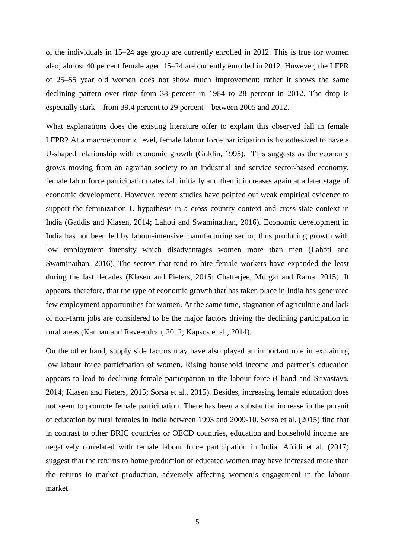of the individuals in 15–24 age group are currently enrolled in 2012. This is true for women also; almost 40 percent female aged 15–24 are currently enrolled in 2012. However, the LFPR of 25–55 year old women does not show much improvement; rather it shows the same declining pattern over time from 38 percent in 1984 to 28 percent in 2012. The drop is especially stark – from 39.4 percent to 29 percent – between 2005 and 2012.

What explanations does the existing literature offer to explain this observed fall in female LFPR? At a macroeconomic level, female labour force participation is hypothesized to have a U-shaped relationship with economic growth (Goldin, 1995). This suggests as the economy grows moving from an agrarian society to an industrial and service sector-based economy, female labor force participation rates fall initially and then it increases again at a later stage of economic development. However, recent studies have pointed out weak empirical evidence to support the feminization U-hypothesis in a cross country context and cross-state context in India (Gaddis and Klasen, 2014; Lahoti and Swaminathan, 2016). Economic development in India has not been led by labour-intensive manufacturing sector, thus producing growth with low employment intensity which disadvantages women more than men (Lahoti and Swaminathan, 2016). The sectors that tend to hire female workers have expanded the least during the last decades (Klasen and Pieters, 2015; Chatterjee, Murgai and Rama, 2015). It appears, therefore, that the type of economic growth that has taken place in India has generated few employment opportunities for women. At the same time, stagnation of agriculture and lack of non-farm jobs are considered to be the major factors driving the declining participation in rural areas (Kannan and Raveendran, 2012; Kapsos et al., 2014).

On the other hand, supply side factors may have also played an important role in explaining low labour force participation of women. Rising household income and partner's education appears to lead to declining female participation in the labour force (Chand and Srivastava, 2014; Klasen and Pieters, 2015; Sorsa et al., 2015). Besides, increasing female education does not seem to promote female participation. There has been a substantial increase in the pursuit of education by rural females in India between 1993 and 2009-10. Sorsa et al. (2015) find that in contrast to other BRIC countries or OECD countries, education and household income are negatively correlated with female labour force participation in India. Afridi et al. (2017) suggest that the returns to home production of educated women may have increased more than the returns to market production, adversely affecting women's engagement in the labour market.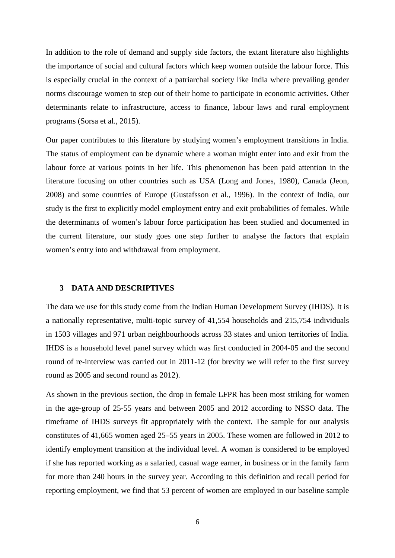In addition to the role of demand and supply side factors, the extant literature also highlights the importance of social and cultural factors which keep women outside the labour force. This is especially crucial in the context of a patriarchal society like India where prevailing gender norms discourage women to step out of their home to participate in economic activities. Other determinants relate to infrastructure, access to finance, labour laws and rural employment programs (Sorsa et al., 2015).

Our paper contributes to this literature by studying women's employment transitions in India. The status of employment can be dynamic where a woman might enter into and exit from the labour force at various points in her life. This phenomenon has been paid attention in the literature focusing on other countries such as USA (Long and Jones, 1980), Canada (Jeon, 2008) and some countries of Europe (Gustafsson et al., 1996). In the context of India, our study is the first to explicitly model employment entry and exit probabilities of females. While the determinants of women's labour force participation has been studied and documented in the current literature, our study goes one step further to analyse the factors that explain women's entry into and withdrawal from employment.

### **3 DATA AND DESCRIPTIVES**

The data we use for this study come from the Indian Human Development Survey (IHDS). It is a nationally representative, multi-topic survey of 41,554 households and 215,754 individuals in 1503 villages and 971 urban neighbourhoods across 33 states and union territories of India. IHDS is a household level panel survey which was first conducted in 2004-05 and the second round of re-interview was carried out in 2011-12 (for brevity we will refer to the first survey round as 2005 and second round as 2012).

As shown in the previous section, the drop in female LFPR has been most striking for women in the age-group of 25-55 years and between 2005 and 2012 according to NSSO data. The timeframe of IHDS surveys fit appropriately with the context. The sample for our analysis constitutes of 41,665 women aged 25–55 years in 2005. These women are followed in 2012 to identify employment transition at the individual level. A woman is considered to be employed if she has reported working as a salaried, casual wage earner, in business or in the family farm for more than 240 hours in the survey year. According to this definition and recall period for reporting employment, we find that 53 percent of women are employed in our baseline sample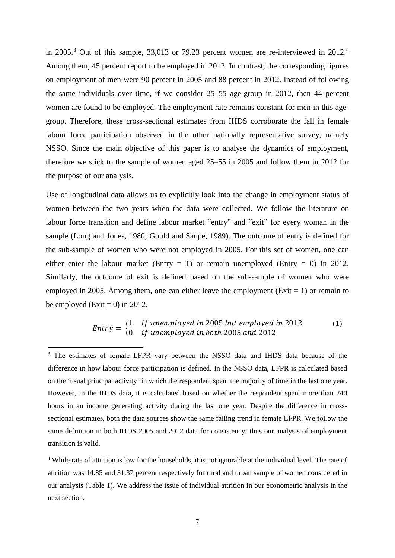in 2005.<sup>[3](#page-8-0)</sup> Out of this sample, 33,013 or 79.23 percent women are re-interviewed in 2012.<sup>[4](#page-8-1)</sup> Among them, 45 percent report to be employed in 2012. In contrast, the corresponding figures on employment of men were 90 percent in 2005 and 88 percent in 2012. Instead of following the same individuals over time, if we consider 25–55 age-group in 2012, then 44 percent women are found to be employed. The employment rate remains constant for men in this agegroup. Therefore, these cross-sectional estimates from IHDS corroborate the fall in female labour force participation observed in the other nationally representative survey, namely NSSO. Since the main objective of this paper is to analyse the dynamics of employment, therefore we stick to the sample of women aged 25–55 in 2005 and follow them in 2012 for the purpose of our analysis.

Use of longitudinal data allows us to explicitly look into the change in employment status of women between the two years when the data were collected. We follow the literature on labour force transition and define labour market "entry" and "exit" for every woman in the sample (Long and Jones, 1980; Gould and Saupe, 1989). The outcome of entry is defined for the sub-sample of women who were not employed in 2005. For this set of women, one can either enter the labour market (Entry  $= 1$ ) or remain unemployed (Entry  $= 0$ ) in 2012. Similarly, the outcome of exit is defined based on the sub-sample of women who were employed in 2005. Among them, one can either leave the employment (Exit  $= 1$ ) or remain to be employed (Exit = 0) in 2012.

#### $Entry = \begin{cases} 1 & if \text{ unemployed in 2005 but employed in 2012} \\ 0 & if \text{ unemployed in both 2005 and 2012} \end{cases}$ 0 ℎ 2005 2012 (1)

 $\overline{a}$ 

<span id="page-8-0"></span><sup>&</sup>lt;sup>3</sup> The estimates of female LFPR vary between the NSSO data and IHDS data because of the difference in how labour force participation is defined. In the NSSO data, LFPR is calculated based on the 'usual principal activity' in which the respondent spent the majority of time in the last one year. However, in the IHDS data, it is calculated based on whether the respondent spent more than 240 hours in an income generating activity during the last one year. Despite the difference in crosssectional estimates, both the data sources show the same falling trend in female LFPR. We follow the same definition in both IHDS 2005 and 2012 data for consistency; thus our analysis of employment transition is valid.

<span id="page-8-1"></span><sup>&</sup>lt;sup>4</sup> While rate of attrition is low for the households, it is not ignorable at the individual level. The rate of attrition was 14.85 and 31.37 percent respectively for rural and urban sample of women considered in our analysis (Table 1). We address the issue of individual attrition in our econometric analysis in the next section.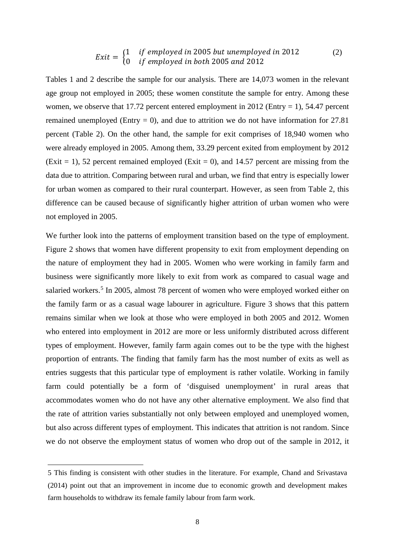$$
Exit = \begin{cases} 1 & if employed in 2005 but unemployed in 2012 \\ 0 & if employed in both 2005 and 2012 \end{cases}
$$
 (2)

Tables 1 and 2 describe the sample for our analysis. There are 14,073 women in the relevant age group not employed in 2005; these women constitute the sample for entry. Among these women, we observe that 17.72 percent entered employment in 2012 (Entry  $= 1$ ), 54.47 percent remained unemployed (Entry  $= 0$ ), and due to attrition we do not have information for 27.81 percent (Table 2). On the other hand, the sample for exit comprises of 18,940 women who were already employed in 2005. Among them, 33.29 percent exited from employment by 2012 (Exit = 1), 52 percent remained employed (Exit = 0), and 14.57 percent are missing from the data due to attrition. Comparing between rural and urban, we find that entry is especially lower for urban women as compared to their rural counterpart. However, as seen from Table 2, this difference can be caused because of significantly higher attrition of urban women who were not employed in 2005.

We further look into the patterns of employment transition based on the type of employment. Figure 2 shows that women have different propensity to exit from employment depending on the nature of employment they had in 2005. Women who were working in family farm and business were significantly more likely to exit from work as compared to casual wage and salaried workers.<sup>[5](#page-9-0)</sup> In 2005, almost 78 percent of women who were employed worked either on the family farm or as a casual wage labourer in agriculture. Figure 3 shows that this pattern remains similar when we look at those who were employed in both 2005 and 2012. Women who entered into employment in 2012 are more or less uniformly distributed across different types of employment. However, family farm again comes out to be the type with the highest proportion of entrants. The finding that family farm has the most number of exits as well as entries suggests that this particular type of employment is rather volatile. Working in family farm could potentially be a form of 'disguised unemployment' in rural areas that accommodates women who do not have any other alternative employment. We also find that the rate of attrition varies substantially not only between employed and unemployed women, but also across different types of employment. This indicates that attrition is not random. Since we do not observe the employment status of women who drop out of the sample in 2012, it

**.** 

<span id="page-9-0"></span><sup>5</sup> This finding is consistent with other studies in the literature. For example, Chand and Srivastava (2014) point out that an improvement in income due to economic growth and development makes farm households to withdraw its female family labour from farm work.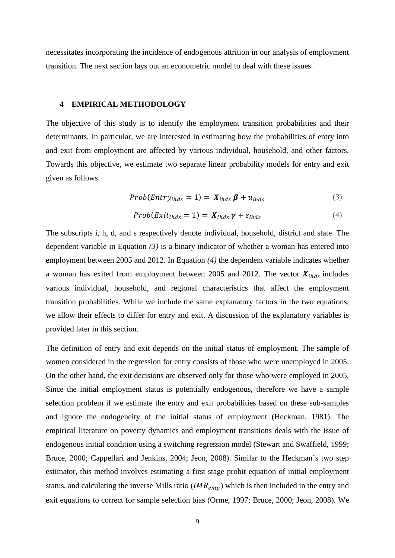necessitates incorporating the incidence of endogenous attrition in our analysis of employment transition. The next section lays out an econometric model to deal with these issues.

#### **4 EMPIRICAL METHODOLOGY**

The objective of this study is to identify the employment transition probabilities and their determinants. In particular, we are interested in estimating how the probabilities of entry into and exit from employment are affected by various individual, household, and other factors. Towards this objective, we estimate two separate linear probability models for entry and exit given as follows.

$$
Prob(Entry_{ihds} = 1) = X_{ihds} \beta + u_{ihds}
$$
\n(3)

<span id="page-10-1"></span><span id="page-10-0"></span>
$$
Prob(Exit_{\text{ihds}} = 1) = X_{\text{ihds}} \gamma + \varepsilon_{\text{ihds}} \tag{4}
$$

The subscripts i, h, d, and s respectively denote individual, household, district and state. The dependent variable in Equation *[\(3\)](#page-10-0)* is a binary indicator of whether a woman has entered into employment between 2005 and 2012. In Equation *[\(4\)](#page-10-1)* the dependent variable indicates whether a woman has exited from employment between 2005 and 2012. The vector  $X_{ihds}$  includes various individual, household, and regional characteristics that affect the employment transition probabilities. While we include the same explanatory factors in the two equations, we allow their effects to differ for entry and exit. A discussion of the explanatory variables is provided later in this section.

The definition of entry and exit depends on the initial status of employment. The sample of women considered in the regression for entry consists of those who were unemployed in 2005. On the other hand, the exit decisions are observed only for those who were employed in 2005. Since the initial employment status is potentially endogenous, therefore we have a sample selection problem if we estimate the entry and exit probabilities based on these sub-samples and ignore the endogeneity of the initial status of employment (Heckman, 1981). The empirical literature on poverty dynamics and employment transitions deals with the issue of endogenous initial condition using a switching regression model (Stewart and Swaffield, 1999; Bruce, 2000; Cappellari and Jenkins, 2004; Jeon, 2008). Similar to the Heckman's two step estimator, this method involves estimating a first stage probit equation of initial employment status, and calculating the inverse Mills ratio ( $IMR_{emp}$ ) which is then included in the entry and exit equations to correct for sample selection bias (Orme, 1997; Bruce, 2000; Jeon, 2008). We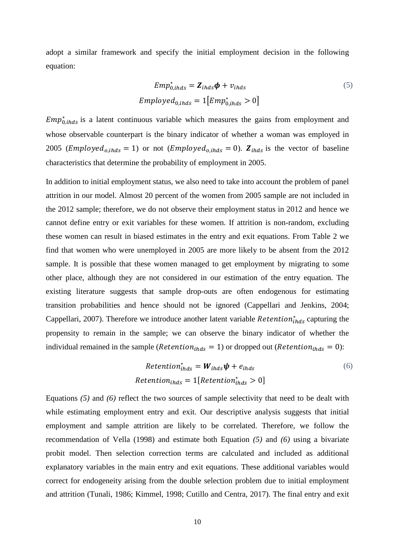adopt a similar framework and specify the initial employment decision in the following equation:

<span id="page-11-0"></span>
$$
Emp_{0,ihds}^* = \mathbf{Z}_{ihds} \boldsymbol{\phi} + v_{ihds}
$$
  
 
$$
Emploved_{0,ihds} = 1 \Big[ Emp_{0,ihds}^* > 0 \Big]
$$
 (5)

 $Emp_{0, hds}^*$  is a latent continuous variable which measures the gains from employment and whose observable counterpart is the binary indicator of whether a woman was employed in 2005 (*Employed*<sub>o,ihds</sub> = 1) or not (*Employed*<sub>o,ihds</sub> = 0).  $\mathbf{Z}_{ihds}$  is the vector of baseline characteristics that determine the probability of employment in 2005.

In addition to initial employment status, we also need to take into account the problem of panel attrition in our model. Almost 20 percent of the women from 2005 sample are not included in the 2012 sample; therefore, we do not observe their employment status in 2012 and hence we cannot define entry or exit variables for these women. If attrition is non-random, excluding these women can result in biased estimates in the entry and exit equations. From Table 2 we find that women who were unemployed in 2005 are more likely to be absent from the 2012 sample. It is possible that these women managed to get employment by migrating to some other place, although they are not considered in our estimation of the entry equation. The existing literature suggests that sample drop-outs are often endogenous for estimating transition probabilities and hence should not be ignored (Cappellari and Jenkins, 2004; Cappellari, 2007). Therefore we introduce another latent variable  $Revention_{hds}^*$  capturing the propensity to remain in the sample; we can observe the binary indicator of whether the individual remained in the sample ( $Retention_{ihds} = 1$ ) or dropped out ( $Retention_{ihds} = 0$ ):

<span id="page-11-1"></span>
$$
Retentioninds* = Winds \psi + einds
$$
\n
$$
Retentioninds = 1[Retentioninds* > 0]
$$
\n(6)

Equations *[\(5\)](#page-11-0)* and *[\(6\)](#page-11-1)* reflect the two sources of sample selectivity that need to be dealt with while estimating employment entry and exit. Our descriptive analysis suggests that initial employment and sample attrition are likely to be correlated. Therefore, we follow the recommendation of Vella (1998) and estimate both Equation *[\(5\)](#page-11-0)* and *[\(6\)](#page-11-1)* using a bivariate probit model. Then selection correction terms are calculated and included as additional explanatory variables in the main entry and exit equations. These additional variables would correct for endogeneity arising from the double selection problem due to initial employment and attrition (Tunali, 1986; Kimmel, 1998; Cutillo and Centra, 2017). The final entry and exit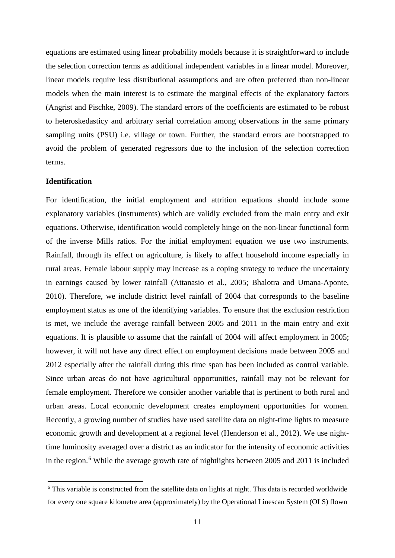equations are estimated using linear probability models because it is straightforward to include the selection correction terms as additional independent variables in a linear model. Moreover, linear models require less distributional assumptions and are often preferred than non-linear models when the main interest is to estimate the marginal effects of the explanatory factors (Angrist and Pischke, 2009). The standard errors of the coefficients are estimated to be robust to heteroskedasticy and arbitrary serial correlation among observations in the same primary sampling units (PSU) i.e. village or town. Further, the standard errors are bootstrapped to avoid the problem of generated regressors due to the inclusion of the selection correction terms.

## **Identification**

 $\overline{a}$ 

For identification, the initial employment and attrition equations should include some explanatory variables (instruments) which are validly excluded from the main entry and exit equations. Otherwise, identification would completely hinge on the non-linear functional form of the inverse Mills ratios. For the initial employment equation we use two instruments. Rainfall, through its effect on agriculture, is likely to affect household income especially in rural areas. Female labour supply may increase as a coping strategy to reduce the uncertainty in earnings caused by lower rainfall (Attanasio et al., 2005; Bhalotra and Umana-Aponte, 2010). Therefore, we include district level rainfall of 2004 that corresponds to the baseline employment status as one of the identifying variables. To ensure that the exclusion restriction is met, we include the average rainfall between 2005 and 2011 in the main entry and exit equations. It is plausible to assume that the rainfall of 2004 will affect employment in 2005; however, it will not have any direct effect on employment decisions made between 2005 and 2012 especially after the rainfall during this time span has been included as control variable. Since urban areas do not have agricultural opportunities, rainfall may not be relevant for female employment. Therefore we consider another variable that is pertinent to both rural and urban areas. Local economic development creates employment opportunities for women. Recently, a growing number of studies have used satellite data on night-time lights to measure economic growth and development at a regional level (Henderson et al., 2012). We use nighttime luminosity averaged over a district as an indicator for the intensity of economic activities in the region. [6](#page-12-0) While the average growth rate of nightlights between 2005 and 2011 is included

<span id="page-12-0"></span><sup>&</sup>lt;sup>6</sup> This variable is constructed from the satellite data on lights at night. This data is recorded worldwide for every one square kilometre area (approximately) by the Operational Linescan System (OLS) flown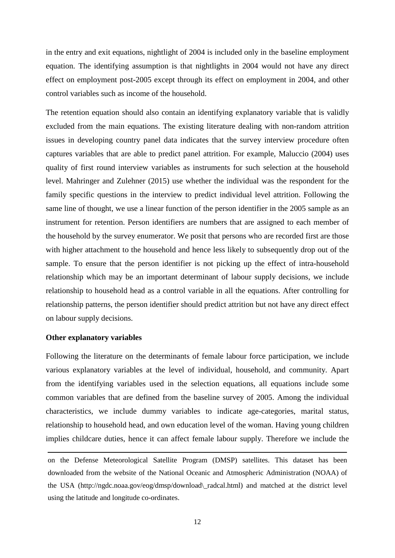in the entry and exit equations, nightlight of 2004 is included only in the baseline employment equation. The identifying assumption is that nightlights in 2004 would not have any direct effect on employment post-2005 except through its effect on employment in 2004, and other control variables such as income of the household.

The retention equation should also contain an identifying explanatory variable that is validly excluded from the main equations. The existing literature dealing with non-random attrition issues in developing country panel data indicates that the survey interview procedure often captures variables that are able to predict panel attrition. For example, Maluccio (2004) uses quality of first round interview variables as instruments for such selection at the household level. Mahringer and Zulehner (2015) use whether the individual was the respondent for the family specific questions in the interview to predict individual level attrition. Following the same line of thought, we use a linear function of the person identifier in the 2005 sample as an instrument for retention. Person identifiers are numbers that are assigned to each member of the household by the survey enumerator. We posit that persons who are recorded first are those with higher attachment to the household and hence less likely to subsequently drop out of the sample. To ensure that the person identifier is not picking up the effect of intra-household relationship which may be an important determinant of labour supply decisions, we include relationship to household head as a control variable in all the equations. After controlling for relationship patterns, the person identifier should predict attrition but not have any direct effect on labour supply decisions.

## **Other explanatory variables**

<u>.</u>

Following the literature on the determinants of female labour force participation, we include various explanatory variables at the level of individual, household, and community. Apart from the identifying variables used in the selection equations, all equations include some common variables that are defined from the baseline survey of 2005. Among the individual characteristics, we include dummy variables to indicate age-categories, marital status, relationship to household head, and own education level of the woman. Having young children implies childcare duties, hence it can affect female labour supply. Therefore we include the

on the Defense Meteorological Satellite Program (DMSP) satellites. This dataset has been downloaded from the website of the National Oceanic and Atmospheric Administration (NOAA) of the USA (http://ngdc.noaa.gov/eog/dmsp/download\\_radcal.html) and matched at the district level using the latitude and longitude co-ordinates.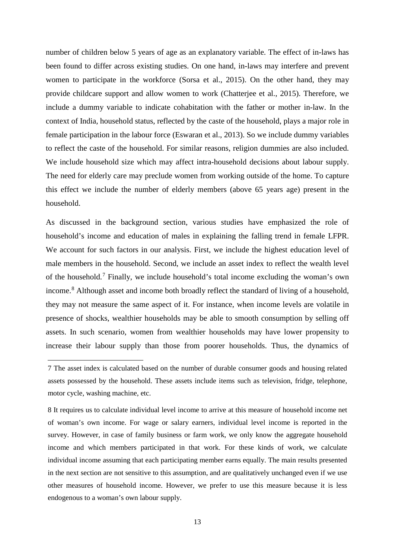number of children below 5 years of age as an explanatory variable. The effect of in-laws has been found to differ across existing studies. On one hand, in-laws may interfere and prevent women to participate in the workforce (Sorsa et al., 2015). On the other hand, they may provide childcare support and allow women to work (Chatterjee et al., 2015). Therefore, we include a dummy variable to indicate cohabitation with the father or mother in-law. In the context of India, household status, reflected by the caste of the household, plays a major role in female participation in the labour force (Eswaran et al., 2013). So we include dummy variables to reflect the caste of the household. For similar reasons, religion dummies are also included. We include household size which may affect intra-household decisions about labour supply. The need for elderly care may preclude women from working outside of the home. To capture this effect we include the number of elderly members (above 65 years age) present in the household.

As discussed in the background section, various studies have emphasized the role of household's income and education of males in explaining the falling trend in female LFPR. We account for such factors in our analysis. First, we include the highest education level of male members in the household. Second, we include an asset index to reflect the wealth level of the household.[7](#page-14-0) Finally, we include household's total income excluding the woman's own income.[8](#page-14-1) Although asset and income both broadly reflect the standard of living of a household, they may not measure the same aspect of it. For instance, when income levels are volatile in presence of shocks, wealthier households may be able to smooth consumption by selling off assets. In such scenario, women from wealthier households may have lower propensity to increase their labour supply than those from poorer households. Thus, the dynamics of

**.** 

<span id="page-14-0"></span><sup>7</sup> The asset index is calculated based on the number of durable consumer goods and housing related assets possessed by the household. These assets include items such as television, fridge, telephone, motor cycle, washing machine, etc.

<span id="page-14-1"></span><sup>8</sup> It requires us to calculate individual level income to arrive at this measure of household income net of woman's own income. For wage or salary earners, individual level income is reported in the survey. However, in case of family business or farm work, we only know the aggregate household income and which members participated in that work. For these kinds of work, we calculate individual income assuming that each participating member earns equally. The main results presented in the next section are not sensitive to this assumption, and are qualitatively unchanged even if we use other measures of household income. However, we prefer to use this measure because it is less endogenous to a woman's own labour supply.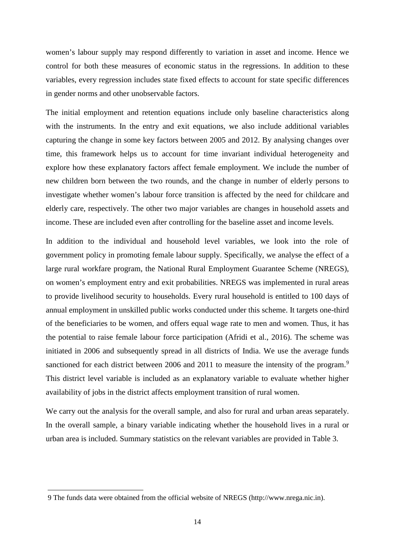women's labour supply may respond differently to variation in asset and income. Hence we control for both these measures of economic status in the regressions. In addition to these variables, every regression includes state fixed effects to account for state specific differences in gender norms and other unobservable factors.

The initial employment and retention equations include only baseline characteristics along with the instruments. In the entry and exit equations, we also include additional variables capturing the change in some key factors between 2005 and 2012. By analysing changes over time, this framework helps us to account for time invariant individual heterogeneity and explore how these explanatory factors affect female employment. We include the number of new children born between the two rounds, and the change in number of elderly persons to investigate whether women's labour force transition is affected by the need for childcare and elderly care, respectively. The other two major variables are changes in household assets and income. These are included even after controlling for the baseline asset and income levels.

In addition to the individual and household level variables, we look into the role of government policy in promoting female labour supply. Specifically, we analyse the effect of a large rural workfare program, the National Rural Employment Guarantee Scheme (NREGS), on women's employment entry and exit probabilities. NREGS was implemented in rural areas to provide livelihood security to households. Every rural household is entitled to 100 days of annual employment in unskilled public works conducted under this scheme. It targets one-third of the beneficiaries to be women, and offers equal wage rate to men and women. Thus, it has the potential to raise female labour force participation (Afridi et al., 2016). The scheme was initiated in 2006 and subsequently spread in all districts of India. We use the average funds sanctioned for each district between 2006 and 2011 to measure the intensity of the program.<sup>[9](#page-15-0)</sup> This district level variable is included as an explanatory variable to evaluate whether higher availability of jobs in the district affects employment transition of rural women.

We carry out the analysis for the overall sample, and also for rural and urban areas separately. In the overall sample, a binary variable indicating whether the household lives in a rural or urban area is included. Summary statistics on the relevant variables are provided in Table 3.

<u>.</u>

<span id="page-15-0"></span><sup>9</sup> The funds data were obtained from the official website of NREGS (http://www.nrega.nic.in).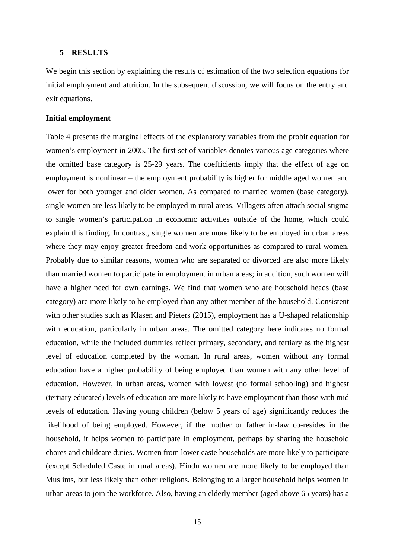### **5 RESULTS**

We begin this section by explaining the results of estimation of the two selection equations for initial employment and attrition. In the subsequent discussion, we will focus on the entry and exit equations.

### **Initial employment**

Table 4 presents the marginal effects of the explanatory variables from the probit equation for women's employment in 2005. The first set of variables denotes various age categories where the omitted base category is 25-29 years. The coefficients imply that the effect of age on employment is nonlinear – the employment probability is higher for middle aged women and lower for both younger and older women. As compared to married women (base category), single women are less likely to be employed in rural areas. Villagers often attach social stigma to single women's participation in economic activities outside of the home, which could explain this finding. In contrast, single women are more likely to be employed in urban areas where they may enjoy greater freedom and work opportunities as compared to rural women. Probably due to similar reasons, women who are separated or divorced are also more likely than married women to participate in employment in urban areas; in addition, such women will have a higher need for own earnings. We find that women who are household heads (base category) are more likely to be employed than any other member of the household. Consistent with other studies such as Klasen and Pieters (2015), employment has a U-shaped relationship with education, particularly in urban areas. The omitted category here indicates no formal education, while the included dummies reflect primary, secondary, and tertiary as the highest level of education completed by the woman. In rural areas, women without any formal education have a higher probability of being employed than women with any other level of education. However, in urban areas, women with lowest (no formal schooling) and highest (tertiary educated) levels of education are more likely to have employment than those with mid levels of education. Having young children (below 5 years of age) significantly reduces the likelihood of being employed. However, if the mother or father in-law co-resides in the household, it helps women to participate in employment, perhaps by sharing the household chores and childcare duties. Women from lower caste households are more likely to participate (except Scheduled Caste in rural areas). Hindu women are more likely to be employed than Muslims, but less likely than other religions. Belonging to a larger household helps women in urban areas to join the workforce. Also, having an elderly member (aged above 65 years) has a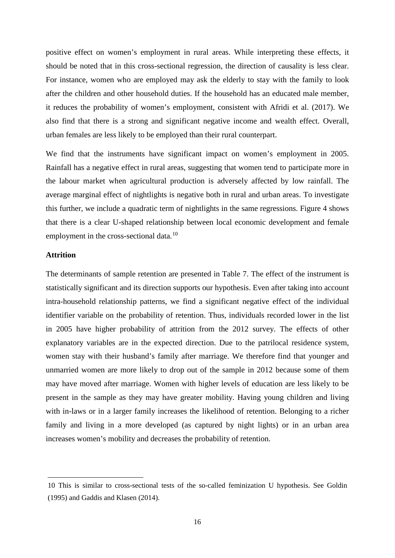positive effect on women's employment in rural areas. While interpreting these effects, it should be noted that in this cross-sectional regression, the direction of causality is less clear. For instance, women who are employed may ask the elderly to stay with the family to look after the children and other household duties. If the household has an educated male member, it reduces the probability of women's employment, consistent with Afridi et al. (2017). We also find that there is a strong and significant negative income and wealth effect. Overall, urban females are less likely to be employed than their rural counterpart.

We find that the instruments have significant impact on women's employment in 2005. Rainfall has a negative effect in rural areas, suggesting that women tend to participate more in the labour market when agricultural production is adversely affected by low rainfall. The average marginal effect of nightlights is negative both in rural and urban areas. To investigate this further, we include a quadratic term of nightlights in the same regressions. Figure 4 shows that there is a clear U-shaped relationship between local economic development and female employment in the cross-sectional data.<sup>[10](#page-17-0)</sup>

## **Attrition**

 $\overline{a}$ 

The determinants of sample retention are presented in Table 7. The effect of the instrument is statistically significant and its direction supports our hypothesis. Even after taking into account intra-household relationship patterns, we find a significant negative effect of the individual identifier variable on the probability of retention. Thus, individuals recorded lower in the list in 2005 have higher probability of attrition from the 2012 survey. The effects of other explanatory variables are in the expected direction. Due to the patrilocal residence system, women stay with their husband's family after marriage. We therefore find that younger and unmarried women are more likely to drop out of the sample in 2012 because some of them may have moved after marriage. Women with higher levels of education are less likely to be present in the sample as they may have greater mobility. Having young children and living with in-laws or in a larger family increases the likelihood of retention. Belonging to a richer family and living in a more developed (as captured by night lights) or in an urban area increases women's mobility and decreases the probability of retention.

<span id="page-17-0"></span><sup>10</sup> This is similar to cross-sectional tests of the so-called feminization U hypothesis. See Goldin (1995) and Gaddis and Klasen (2014).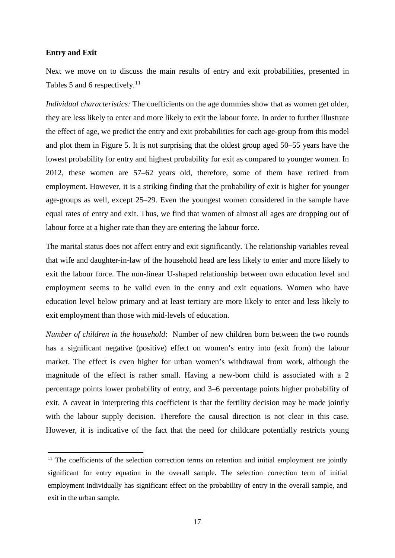## **Entry and Exit**

<u>.</u>

Next we move on to discuss the main results of entry and exit probabilities, presented in Tables 5 and 6 respectively.<sup>[11](#page-18-0)</sup>

*Individual characteristics:* The coefficients on the age dummies show that as women get older, they are less likely to enter and more likely to exit the labour force. In order to further illustrate the effect of age, we predict the entry and exit probabilities for each age-group from this model and plot them in Figure 5. It is not surprising that the oldest group aged 50–55 years have the lowest probability for entry and highest probability for exit as compared to younger women. In 2012, these women are 57–62 years old, therefore, some of them have retired from employment. However, it is a striking finding that the probability of exit is higher for younger age-groups as well, except 25–29. Even the youngest women considered in the sample have equal rates of entry and exit. Thus, we find that women of almost all ages are dropping out of labour force at a higher rate than they are entering the labour force.

The marital status does not affect entry and exit significantly. The relationship variables reveal that wife and daughter-in-law of the household head are less likely to enter and more likely to exit the labour force. The non-linear U-shaped relationship between own education level and employment seems to be valid even in the entry and exit equations. Women who have education level below primary and at least tertiary are more likely to enter and less likely to exit employment than those with mid-levels of education.

*Number of children in the household*: Number of new children born between the two rounds has a significant negative (positive) effect on women's entry into (exit from) the labour market. The effect is even higher for urban women's withdrawal from work, although the magnitude of the effect is rather small. Having a new-born child is associated with a 2 percentage points lower probability of entry, and 3–6 percentage points higher probability of exit. A caveat in interpreting this coefficient is that the fertility decision may be made jointly with the labour supply decision. Therefore the causal direction is not clear in this case. However, it is indicative of the fact that the need for childcare potentially restricts young

<span id="page-18-0"></span> $11$  The coefficients of the selection correction terms on retention and initial employment are jointly significant for entry equation in the overall sample. The selection correction term of initial employment individually has significant effect on the probability of entry in the overall sample, and exit in the urban sample.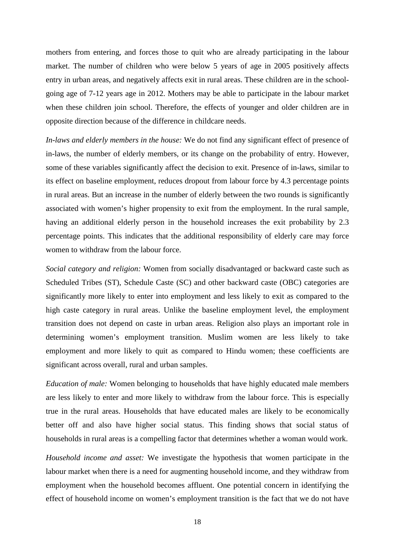mothers from entering, and forces those to quit who are already participating in the labour market. The number of children who were below 5 years of age in 2005 positively affects entry in urban areas, and negatively affects exit in rural areas. These children are in the schoolgoing age of 7-12 years age in 2012. Mothers may be able to participate in the labour market when these children join school. Therefore, the effects of younger and older children are in opposite direction because of the difference in childcare needs.

*In-laws and elderly members in the house:* We do not find any significant effect of presence of in-laws, the number of elderly members, or its change on the probability of entry. However, some of these variables significantly affect the decision to exit. Presence of in-laws, similar to its effect on baseline employment, reduces dropout from labour force by 4.3 percentage points in rural areas. But an increase in the number of elderly between the two rounds is significantly associated with women's higher propensity to exit from the employment. In the rural sample, having an additional elderly person in the household increases the exit probability by 2.3 percentage points. This indicates that the additional responsibility of elderly care may force women to withdraw from the labour force.

*Social category and religion:* Women from socially disadvantaged or backward caste such as Scheduled Tribes (ST), Schedule Caste (SC) and other backward caste (OBC) categories are significantly more likely to enter into employment and less likely to exit as compared to the high caste category in rural areas. Unlike the baseline employment level, the employment transition does not depend on caste in urban areas. Religion also plays an important role in determining women's employment transition. Muslim women are less likely to take employment and more likely to quit as compared to Hindu women; these coefficients are significant across overall, rural and urban samples.

*Education of male:* Women belonging to households that have highly educated male members are less likely to enter and more likely to withdraw from the labour force. This is especially true in the rural areas. Households that have educated males are likely to be economically better off and also have higher social status. This finding shows that social status of households in rural areas is a compelling factor that determines whether a woman would work.

*Household income and asset:* We investigate the hypothesis that women participate in the labour market when there is a need for augmenting household income, and they withdraw from employment when the household becomes affluent. One potential concern in identifying the effect of household income on women's employment transition is the fact that we do not have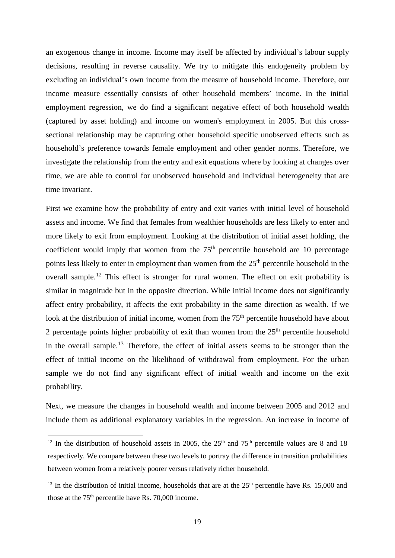an exogenous change in income. Income may itself be affected by individual's labour supply decisions, resulting in reverse causality. We try to mitigate this endogeneity problem by excluding an individual's own income from the measure of household income. Therefore, our income measure essentially consists of other household members' income. In the initial employment regression, we do find a significant negative effect of both household wealth (captured by asset holding) and income on women's employment in 2005. But this crosssectional relationship may be capturing other household specific unobserved effects such as household's preference towards female employment and other gender norms. Therefore, we investigate the relationship from the entry and exit equations where by looking at changes over time, we are able to control for unobserved household and individual heterogeneity that are time invariant.

First we examine how the probability of entry and exit varies with initial level of household assets and income. We find that females from wealthier households are less likely to enter and more likely to exit from employment. Looking at the distribution of initial asset holding, the coefficient would imply that women from the  $75<sup>th</sup>$  percentile household are 10 percentage points less likely to enter in employment than women from the 25<sup>th</sup> percentile household in the overall sample.<sup>[12](#page-20-0)</sup> This effect is stronger for rural women. The effect on exit probability is similar in magnitude but in the opposite direction. While initial income does not significantly affect entry probability, it affects the exit probability in the same direction as wealth. If we look at the distribution of initial income, women from the  $75<sup>th</sup>$  percentile household have about 2 percentage points higher probability of exit than women from the  $25<sup>th</sup>$  percentile household in the overall sample.<sup>[13](#page-20-1)</sup> Therefore, the effect of initial assets seems to be stronger than the effect of initial income on the likelihood of withdrawal from employment. For the urban sample we do not find any significant effect of initial wealth and income on the exit probability.

Next, we measure the changes in household wealth and income between 2005 and 2012 and include them as additional explanatory variables in the regression. An increase in income of

 $\overline{a}$ 

<span id="page-20-0"></span><sup>&</sup>lt;sup>12</sup> In the distribution of household assets in 2005, the  $25<sup>th</sup>$  and  $75<sup>th</sup>$  percentile values are 8 and 18 respectively. We compare between these two levels to portray the difference in transition probabilities between women from a relatively poorer versus relatively richer household.

<span id="page-20-1"></span> $13$  In the distribution of initial income, households that are at the  $25<sup>th</sup>$  percentile have Rs. 15,000 and those at the  $75<sup>th</sup>$  percentile have Rs. 70,000 income.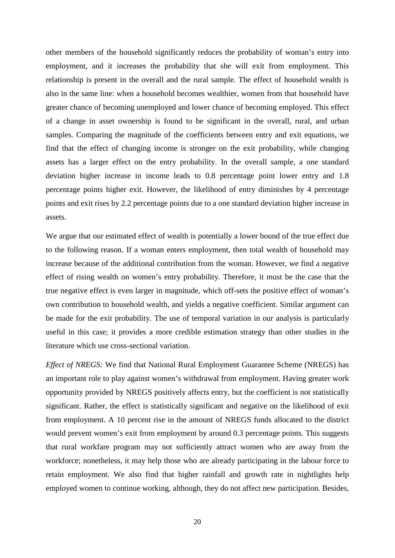other members of the household significantly reduces the probability of woman's entry into employment, and it increases the probability that she will exit from employment. This relationship is present in the overall and the rural sample. The effect of household wealth is also in the same line: when a household becomes wealthier, women from that household have greater chance of becoming unemployed and lower chance of becoming employed. This effect of a change in asset ownership is found to be significant in the overall, rural, and urban samples. Comparing the magnitude of the coefficients between entry and exit equations, we find that the effect of changing income is stronger on the exit probability, while changing assets has a larger effect on the entry probability. In the overall sample, a one standard deviation higher increase in income leads to 0.8 percentage point lower entry and 1.8 percentage points higher exit. However, the likelihood of entry diminishes by 4 percentage points and exit rises by 2.2 percentage points due to a one standard deviation higher increase in assets.

We argue that our estimated effect of wealth is potentially a lower bound of the true effect due to the following reason. If a woman enters employment, then total wealth of household may increase because of the additional contribution from the woman. However, we find a negative effect of rising wealth on women's entry probability. Therefore, it must be the case that the true negative effect is even larger in magnitude, which off-sets the positive effect of woman's own contribution to household wealth, and yields a negative coefficient. Similar argument can be made for the exit probability. The use of temporal variation in our analysis is particularly useful in this case; it provides a more credible estimation strategy than other studies in the literature which use cross-sectional variation.

*Effect of NREGS:* We find that National Rural Employment Guarantee Scheme (NREGS) has an important role to play against women's withdrawal from employment. Having greater work opportunity provided by NREGS positively affects entry, but the coefficient is not statistically significant. Rather, the effect is statistically significant and negative on the likelihood of exit from employment. A 10 percent rise in the amount of NREGS funds allocated to the district would prevent women's exit from employment by around 0.3 percentage points. This suggests that rural workfare program may not sufficiently attract women who are away from the workforce; nonetheless, it may help those who are already participating in the labour force to retain employment. We also find that higher rainfall and growth rate in nightlights help employed women to continue working, although, they do not affect new participation. Besides,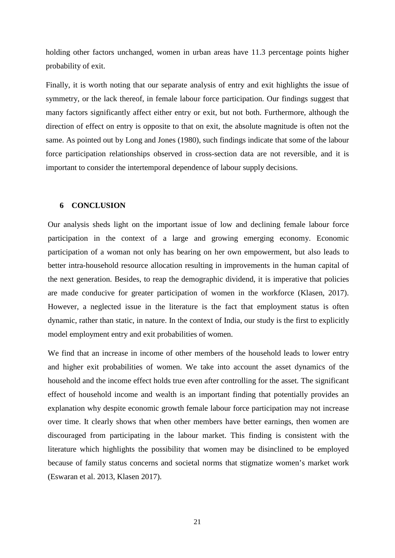holding other factors unchanged, women in urban areas have 11.3 percentage points higher probability of exit.

Finally, it is worth noting that our separate analysis of entry and exit highlights the issue of symmetry, or the lack thereof, in female labour force participation. Our findings suggest that many factors significantly affect either entry or exit, but not both. Furthermore, although the direction of effect on entry is opposite to that on exit, the absolute magnitude is often not the same. As pointed out by Long and Jones (1980), such findings indicate that some of the labour force participation relationships observed in cross-section data are not reversible, and it is important to consider the intertemporal dependence of labour supply decisions.

### **6 CONCLUSION**

Our analysis sheds light on the important issue of low and declining female labour force participation in the context of a large and growing emerging economy. Economic participation of a woman not only has bearing on her own empowerment, but also leads to better intra-household resource allocation resulting in improvements in the human capital of the next generation. Besides, to reap the demographic dividend, it is imperative that policies are made conducive for greater participation of women in the workforce (Klasen, 2017). However, a neglected issue in the literature is the fact that employment status is often dynamic, rather than static, in nature. In the context of India, our study is the first to explicitly model employment entry and exit probabilities of women.

We find that an increase in income of other members of the household leads to lower entry and higher exit probabilities of women. We take into account the asset dynamics of the household and the income effect holds true even after controlling for the asset. The significant effect of household income and wealth is an important finding that potentially provides an explanation why despite economic growth female labour force participation may not increase over time. It clearly shows that when other members have better earnings, then women are discouraged from participating in the labour market. This finding is consistent with the literature which highlights the possibility that women may be disinclined to be employed because of family status concerns and societal norms that stigmatize women's market work (Eswaran et al. 2013, Klasen 2017).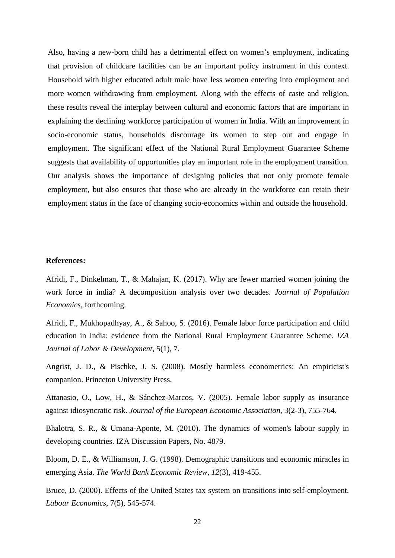Also, having a new-born child has a detrimental effect on women's employment, indicating that provision of childcare facilities can be an important policy instrument in this context. Household with higher educated adult male have less women entering into employment and more women withdrawing from employment. Along with the effects of caste and religion, these results reveal the interplay between cultural and economic factors that are important in explaining the declining workforce participation of women in India. With an improvement in socio-economic status, households discourage its women to step out and engage in employment. The significant effect of the National Rural Employment Guarantee Scheme suggests that availability of opportunities play an important role in the employment transition. Our analysis shows the importance of designing policies that not only promote female employment, but also ensures that those who are already in the workforce can retain their employment status in the face of changing socio-economics within and outside the household.

## **References:**

Afridi, F., Dinkelman, T., & Mahajan, K. (2017). Why are fewer married women joining the work force in india? A decomposition analysis over two decades. *Journal of Population Economics*, forthcoming.

Afridi, F., Mukhopadhyay, A., & Sahoo, S. (2016). Female labor force participation and child education in India: evidence from the National Rural Employment Guarantee Scheme. *IZA Journal of Labor & Development*, 5(1), 7.

Angrist, J. D., & Pischke, J. S. (2008). Mostly harmless econometrics: An empiricist's companion. Princeton University Press.

Attanasio, O., Low, H., & Sánchez-Marcos, V. (2005). Female labor supply as insurance against idiosyncratic risk. *Journal of the European Economic Association*, 3(2-3), 755-764.

Bhalotra, S. R., & Umana-Aponte, M. (2010). The dynamics of women's labour supply in developing countries. IZA Discussion Papers, No. 4879.

Bloom, D. E., & Williamson, J. G. (1998). Demographic transitions and economic miracles in emerging Asia. *The World Bank Economic Review*, *12*(3), 419-455.

Bruce, D. (2000). Effects of the United States tax system on transitions into self-employment. *Labour Economics*, 7(5), 545-574.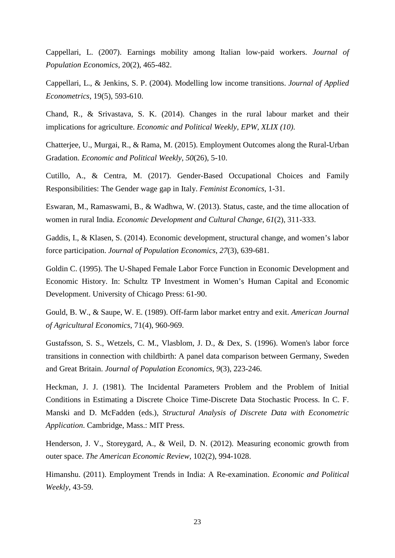Cappellari, L. (2007). Earnings mobility among Italian low-paid workers. *Journal of Population Economics*, 20(2), 465-482.

Cappellari, L., & Jenkins, S. P. (2004). Modelling low income transitions. *Journal of Applied Econometrics*, 19(5), 593-610.

Chand, R., & Srivastava, S. K. (2014). Changes in the rural labour market and their implications for agriculture. *Economic and Political Weekly, EPW, XLIX (10)*.

Chatterjee, U., Murgai, R., & Rama, M. (2015). Employment Outcomes along the Rural-Urban Gradation. *Economic and Political Weekly*, *50*(26), 5-10.

Cutillo, A., & Centra, M. (2017). Gender-Based Occupational Choices and Family Responsibilities: The Gender wage gap in Italy. *Feminist Economics*, 1-31.

Eswaran, M., Ramaswami, B., & Wadhwa, W. (2013). Status, caste, and the time allocation of women in rural India. *Economic Development and Cultural Change*, *61*(2), 311-333.

Gaddis, I., & Klasen, S. (2014). Economic development, structural change, and women's labor force participation. *Journal of Population Economics*, *27*(3), 639-681.

Goldin C. (1995). The U-Shaped Female Labor Force Function in Economic Development and Economic History. In: Schultz TP Investment in Women's Human Capital and Economic Development. University of Chicago Press: 61-90.

Gould, B. W., & Saupe, W. E. (1989). Off-farm labor market entry and exit. *American Journal of Agricultural Economics*, 71(4), 960-969.

Gustafsson, S. S., Wetzels, C. M., Vlasblom, J. D., & Dex, S. (1996). Women's labor force transitions in connection with childbirth: A panel data comparison between Germany, Sweden and Great Britain. *Journal of Population Economics*, *9*(3), 223-246.

Heckman, J. J. (1981). The Incidental Parameters Problem and the Problem of Initial Conditions in Estimating a Discrete Choice Time-Discrete Data Stochastic Process. In C. F. Manski and D. McFadden (eds.), *Structural Analysis of Discrete Data with Econometric Application*. Cambridge, Mass.: MIT Press.

Henderson, J. V., Storeygard, A., & Weil, D. N. (2012). Measuring economic growth from outer space. *The American Economic Review*, 102(2), 994-1028.

Himanshu. (2011). Employment Trends in India: A Re-examination. *Economic and Political Weekly*, 43-59.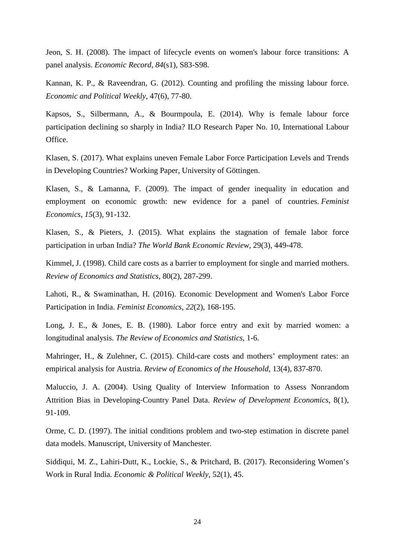Jeon, S. H. (2008). The impact of lifecycle events on women's labour force transitions: A panel analysis. *Economic Record*, *84*(s1), S83-S98.

Kannan, K. P., & Raveendran, G. (2012). Counting and profiling the missing labour force. *Economic and Political Weekly*, 47(6), 77-80.

Kapsos, S., Silbermann, A., & Bourmpoula, E. (2014). Why is female labour force participation declining so sharply in India? ILO Research Paper No. 10, International Labour Office.

Klasen, S. (2017). What explains uneven Female Labor Force Participation Levels and Trends in Developing Countries? Working Paper, University of Göttingen.

Klasen, S., & Lamanna, F. (2009). The impact of gender inequality in education and employment on economic growth: new evidence for a panel of countries. *Feminist Economics*, *15*(3), 91-132.

Klasen, S., & Pieters, J. (2015). What explains the stagnation of female labor force participation in urban India? *The World Bank Economic Review*, 29(3), 449-478.

Kimmel, J. (1998). Child care costs as a barrier to employment for single and married mothers. *Review of Economics and Statistics*, 80(2), 287-299.

Lahoti, R., & Swaminathan, H. (2016). Economic Development and Women's Labor Force Participation in India. *Feminist Economics*, *22*(2), 168-195.

Long, J. E., & Jones, E. B. (1980). Labor force entry and exit by married women: a longitudinal analysis. *The Review of Economics and Statistics*, 1-6.

Mahringer, H., & Zulehner, C. (2015). Child-care costs and mothers' employment rates: an empirical analysis for Austria. *Review of Economics of the Household*, 13(4), 837-870.

Maluccio, J. A. (2004). Using Quality of Interview Information to Assess Nonrandom Attrition Bias in Developing‐Country Panel Data. *Review of Development Economics*, 8(1), 91-109.

Orme, C. D. (1997). The initial conditions problem and two-step estimation in discrete panel data models. Manuscript, University of Manchester.

Siddiqui, M. Z., Lahiri-Dutt, K., Lockie, S., & Pritchard, B. (2017). Reconsidering Women's Work in Rural India. *Economic & Political Weekly*, 52(1), 45.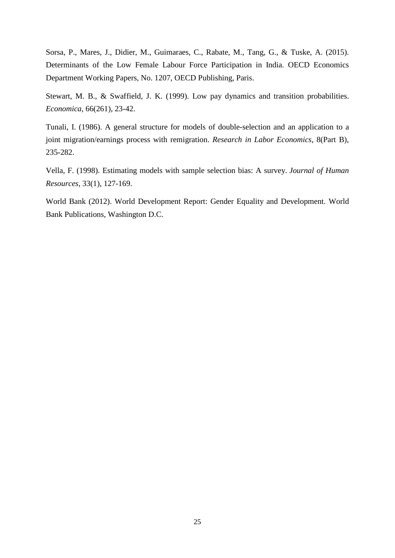Sorsa, P., Mares, J., Didier, M., Guimaraes, C., Rabate, M., Tang, G., & Tuske, A. (2015). Determinants of the Low Female Labour Force Participation in India. OECD Economics Department Working Papers, No. 1207, OECD Publishing, Paris.

Stewart, M. B., & Swaffield, J. K. (1999). Low pay dynamics and transition probabilities. *Economica*, 66(261), 23-42.

Tunali, I. (1986). A general structure for models of double-selection and an application to a joint migration/earnings process with remigration. *Research in Labor Economics*, 8(Part B), 235-282.

Vella, F. (1998). Estimating models with sample selection bias: A survey. *Journal of Human Resources*, 33(1), 127-169.

World Bank (2012). World Development Report: Gender Equality and Development. World Bank Publications, Washington D.C.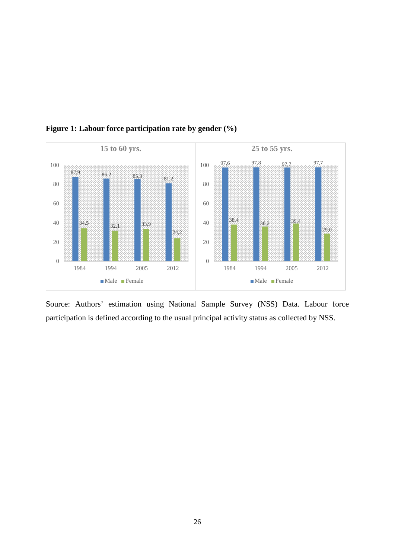

**Figure 1: Labour force participation rate by gender (%)**

Source: Authors' estimation using National Sample Survey (NSS) Data. Labour force participation is defined according to the usual principal activity status as collected by NSS.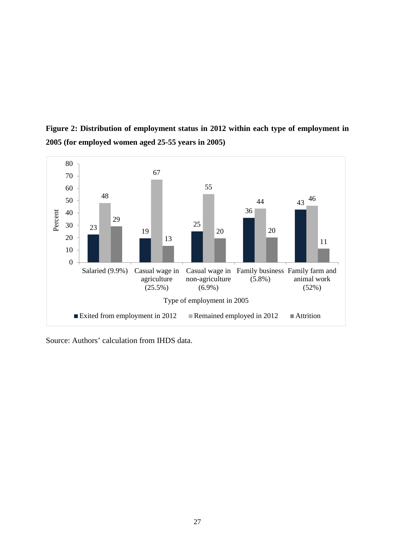

**Figure 2: Distribution of employment status in 2012 within each type of employment in 2005 (for employed women aged 25-55 years in 2005)**

Source: Authors' calculation from IHDS data.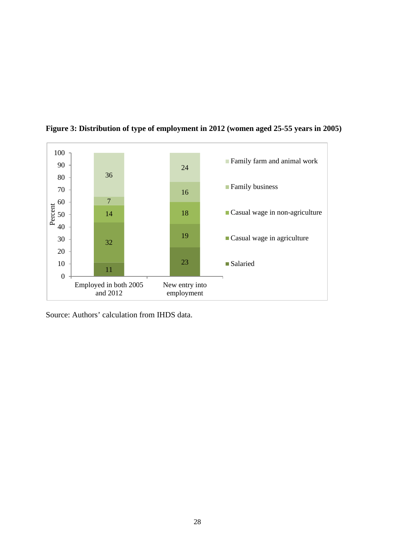

**Figure 3: Distribution of type of employment in 2012 (women aged 25-55 years in 2005)**

Source: Authors' calculation from IHDS data.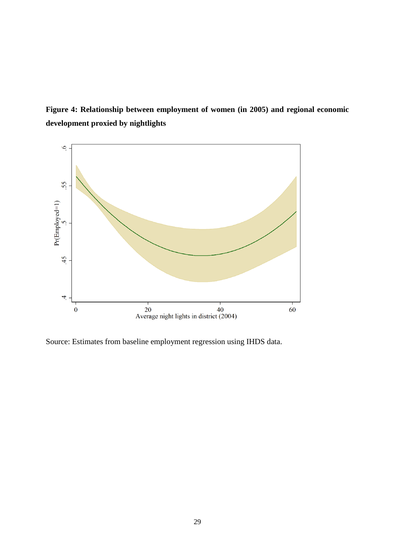**Figure 4: Relationship between employment of women (in 2005) and regional economic development proxied by nightlights**



Source: Estimates from baseline employment regression using IHDS data.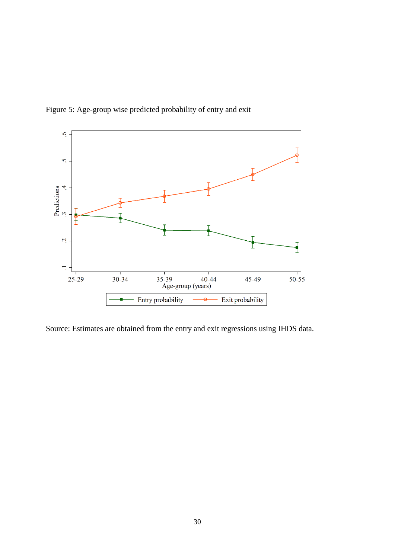

Figure 5: Age-group wise predicted probability of entry and exit

Source: Estimates are obtained from the entry and exit regressions using IHDS data.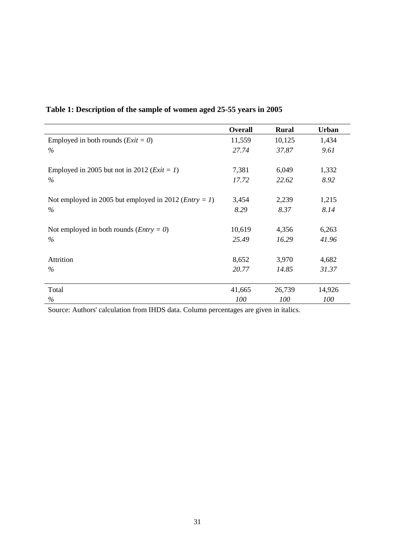|                                                                | <b>Overall</b> | <b>Rural</b> | <b>Urban</b> |
|----------------------------------------------------------------|----------------|--------------|--------------|
| Employed in both rounds $(Exit = 0)$                           | 11,559         | 10,125       | 1,434        |
| $\%$                                                           | 27.74          | 37.87        | 9.61         |
| Employed in 2005 but not in 2012 ( <i>Exit</i> = 1)            | 7,381          | 6,049        | 1,332        |
| $\%$                                                           | 17.72          | 22.62        | 8.92         |
| Not employed in 2005 but employed in 2012 ( <i>Entry = 1</i> ) | 3,454          | 2,239        | 1,215        |
| $\%$                                                           | 8.29           | 8.37         | 8.14         |
| Not employed in both rounds $(Entry = 0)$                      | 10,619         | 4,356        | 6,263        |
| $\%$                                                           | 25.49          | 16.29        | 41.96        |
| Attrition                                                      | 8,652          | 3,970        | 4,682        |
| $\%$                                                           | 20.77          | 14.85        | 31.37        |
|                                                                |                |              |              |
| Total                                                          | 41,665         | 26,739       | 14,926       |
| $\%$                                                           | 100            | 100          | 100          |

## **Table 1: Description of the sample of women aged 25-55 years in 2005**

Source: Authors' calculation from IHDS data. Column percentages are given in italics.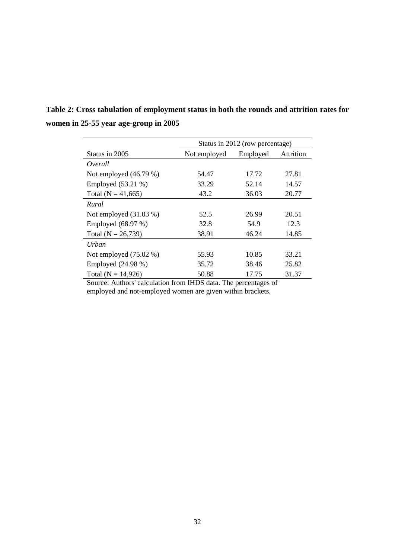|                                       | Table 2: Cross tabulation of employment status in both the rounds and attrition rates for |
|---------------------------------------|-------------------------------------------------------------------------------------------|
| women in 25-55 year age-group in 2005 |                                                                                           |

|                          |              | Status in 2012 (row percentage) |           |  |  |
|--------------------------|--------------|---------------------------------|-----------|--|--|
| Status in 2005           | Not employed | Employed                        | Attrition |  |  |
| Overall                  |              |                                 |           |  |  |
| Not employed $(46.79\%)$ | 54.47        | 17.72                           | 27.81     |  |  |
| Employed (53.21 %)       | 33.29        | 52.14                           | 14.57     |  |  |
| Total ( $N = 41,665$ )   | 43.2         | 36.03                           | 20.77     |  |  |
| Rural                    |              |                                 |           |  |  |
| Not employed $(31.03\%)$ | 52.5         | 26.99                           | 20.51     |  |  |
| Employed (68.97 %)       | 32.8         | 54.9                            | 12.3      |  |  |
| Total ( $N = 26,739$ )   | 38.91        | 46.24                           | 14.85     |  |  |
| Urban                    |              |                                 |           |  |  |
| Not employed $(75.02\%)$ | 55.93        | 10.85                           | 33.21     |  |  |
| Employed (24.98 %)       | 35.72        | 38.46                           | 25.82     |  |  |
| Total ( $N = 14,926$ )   | 50.88        | 17.75                           | 31.37     |  |  |

Source: Authors' calculation from IHDS data. The percentages of employed and not-employed women are given within brackets.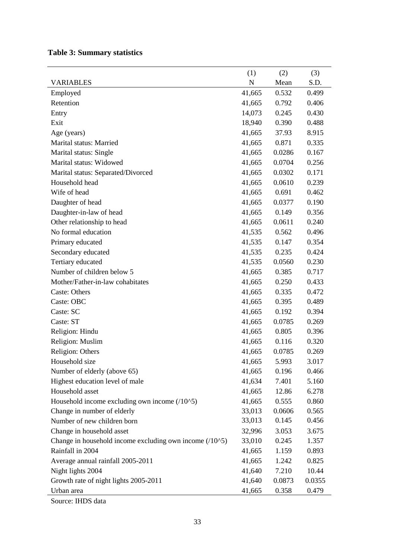|                                                          | (1)         | (2)    | (3)    |
|----------------------------------------------------------|-------------|--------|--------|
| <b>VARIABLES</b>                                         | $\mathbf N$ | Mean   | S.D.   |
| Employed                                                 | 41,665      | 0.532  | 0.499  |
| Retention                                                | 41,665      | 0.792  | 0.406  |
| Entry                                                    | 14,073      | 0.245  | 0.430  |
| Exit                                                     | 18,940      | 0.390  | 0.488  |
| Age (years)                                              | 41,665      | 37.93  | 8.915  |
| Marital status: Married                                  | 41,665      | 0.871  | 0.335  |
| Marital status: Single                                   | 41,665      | 0.0286 | 0.167  |
| Marital status: Widowed                                  | 41,665      | 0.0704 | 0.256  |
| Marital status: Separated/Divorced                       | 41,665      | 0.0302 | 0.171  |
| Household head                                           | 41,665      | 0.0610 | 0.239  |
| Wife of head                                             | 41,665      | 0.691  | 0.462  |
| Daughter of head                                         | 41,665      | 0.0377 | 0.190  |
| Daughter-in-law of head                                  | 41,665      | 0.149  | 0.356  |
| Other relationship to head                               | 41,665      | 0.0611 | 0.240  |
| No formal education                                      | 41,535      | 0.562  | 0.496  |
| Primary educated                                         | 41,535      | 0.147  | 0.354  |
| Secondary educated                                       | 41,535      | 0.235  | 0.424  |
| Tertiary educated                                        | 41,535      | 0.0560 | 0.230  |
| Number of children below 5                               | 41,665      | 0.385  | 0.717  |
| Mother/Father-in-law cohabitates                         | 41,665      | 0.250  | 0.433  |
| Caste: Others                                            | 41,665      | 0.335  | 0.472  |
| Caste: OBC                                               | 41,665      | 0.395  | 0.489  |
| Caste: SC                                                | 41,665      | 0.192  | 0.394  |
| Caste: ST                                                | 41,665      | 0.0785 | 0.269  |
| Religion: Hindu                                          | 41,665      | 0.805  | 0.396  |
| Religion: Muslim                                         | 41,665      | 0.116  | 0.320  |
| Religion: Others                                         | 41,665      | 0.0785 | 0.269  |
| Household size                                           | 41,665      | 5.993  | 3.017  |
| Number of elderly (above 65)                             | 41,665      | 0.196  | 0.466  |
| Highest education level of male                          | 41,634      | 7.401  | 5.160  |
| Household asset                                          | 41,665      | 12.86  | 6.278  |
| Household income excluding own income $(1015)$           | 41,665      | 0.555  | 0.860  |
| Change in number of elderly                              | 33,013      | 0.0606 | 0.565  |
| Number of new children born                              | 33,013      | 0.145  | 0.456  |
| Change in household asset                                | 32,996      | 3.053  | 3.675  |
| Change in household income excluding own income $(1005)$ | 33,010      | 0.245  | 1.357  |
| Rainfall in 2004                                         | 41,665      | 1.159  | 0.893  |
| Average annual rainfall 2005-2011                        | 41,665      | 1.242  | 0.825  |
| Night lights 2004                                        | 41,640      | 7.210  | 10.44  |
| Growth rate of night lights 2005-2011                    | 41,640      | 0.0873 | 0.0355 |
| Urban area                                               | 41,665      | 0.358  | 0.479  |

## **Table 3: Summary statistics**

Source: IHDS data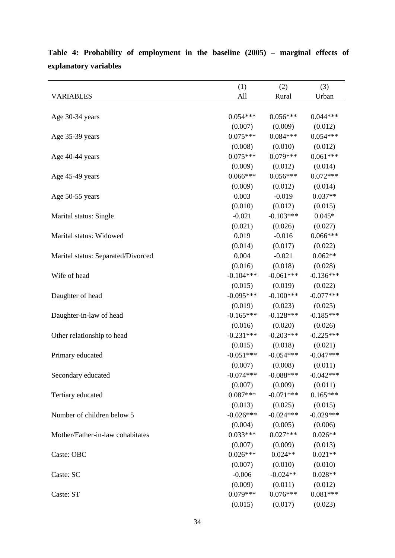|                                    | (1)         | (2)         | (3)         |
|------------------------------------|-------------|-------------|-------------|
| <b>VARIABLES</b>                   | All         | Rural       | Urban       |
|                                    |             |             |             |
| Age 30-34 years                    | $0.054***$  | $0.056***$  | $0.044***$  |
|                                    | (0.007)     | (0.009)     | (0.012)     |
| Age 35-39 years                    | $0.075***$  | $0.084***$  | $0.054***$  |
|                                    | (0.008)     | (0.010)     | (0.012)     |
| Age 40-44 years                    | $0.075***$  | $0.079***$  | $0.061***$  |
|                                    | (0.009)     | (0.012)     | (0.014)     |
| Age 45-49 years                    | $0.066***$  | $0.056***$  | $0.072***$  |
|                                    | (0.009)     | (0.012)     | (0.014)     |
| Age 50-55 years                    | 0.003       | $-0.019$    | $0.037**$   |
|                                    | (0.010)     | (0.012)     | (0.015)     |
| Marital status: Single             | $-0.021$    | $-0.103***$ | $0.045*$    |
|                                    | (0.021)     | (0.026)     | (0.027)     |
| Marital status: Widowed            | 0.019       | $-0.016$    | $0.066***$  |
|                                    | (0.014)     | (0.017)     | (0.022)     |
| Marital status: Separated/Divorced | 0.004       | $-0.021$    | $0.062**$   |
|                                    | (0.016)     | (0.018)     | (0.028)     |
| Wife of head                       | $-0.104***$ | $-0.061***$ | $-0.136***$ |
|                                    | (0.015)     | (0.019)     | (0.022)     |
| Daughter of head                   | $-0.095***$ | $-0.100***$ | $-0.077***$ |
|                                    | (0.019)     | (0.023)     | (0.025)     |
| Daughter-in-law of head            | $-0.165***$ | $-0.128***$ | $-0.185***$ |
|                                    | (0.016)     | (0.020)     | (0.026)     |
| Other relationship to head         | $-0.231***$ | $-0.203***$ | $-0.225***$ |
|                                    | (0.015)     | (0.018)     | (0.021)     |
| Primary educated                   | $-0.051***$ | $-0.054***$ | $-0.047***$ |
|                                    | (0.007)     | (0.008)     | (0.011)     |
| Secondary educated                 | $-0.074***$ | $-0.088***$ | $-0.042***$ |
|                                    | (0.007)     | (0.009)     | (0.011)     |
| Tertiary educated                  | $0.087***$  | $-0.071***$ | $0.165***$  |
|                                    | (0.013)     | (0.025)     | (0.015)     |
| Number of children below 5         | $-0.026***$ | $-0.024***$ | $-0.029***$ |
|                                    | (0.004)     | (0.005)     | (0.006)     |
| Mother/Father-in-law cohabitates   | $0.033***$  | $0.027***$  | $0.026**$   |
|                                    | (0.007)     | (0.009)     | (0.013)     |
| Caste: OBC                         | $0.026***$  | $0.024**$   | $0.021**$   |
|                                    | (0.007)     | (0.010)     | (0.010)     |
| Caste: SC                          | $-0.006$    | $-0.024**$  | $0.028**$   |
|                                    | (0.009)     | (0.011)     | (0.012)     |
| Caste: ST                          | $0.079***$  | $0.076***$  | $0.081***$  |
|                                    | (0.015)     | (0.017)     | (0.023)     |

**Table 4: Probability of employment in the baseline (2005) – marginal effects of explanatory variables**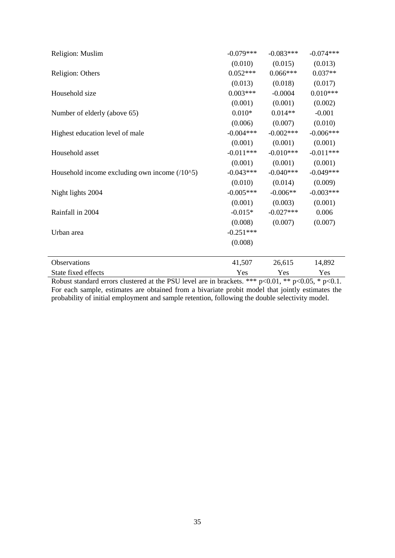| Religion: Muslim                                                                           | $-0.079***$ | $-0.083***$ | $-0.074***$ |
|--------------------------------------------------------------------------------------------|-------------|-------------|-------------|
|                                                                                            | (0.010)     | (0.015)     | (0.013)     |
| Religion: Others                                                                           | $0.052***$  | $0.066***$  | $0.037**$   |
|                                                                                            | (0.013)     | (0.018)     | (0.017)     |
| Household size                                                                             | $0.003***$  | $-0.0004$   | $0.010***$  |
|                                                                                            | (0.001)     | (0.001)     | (0.002)     |
| Number of elderly (above 65)                                                               | $0.010*$    | $0.014**$   | $-0.001$    |
|                                                                                            | (0.006)     | (0.007)     | (0.010)     |
| Highest education level of male                                                            | $-0.004***$ | $-0.002***$ | $-0.006***$ |
|                                                                                            | (0.001)     | (0.001)     | (0.001)     |
| Household asset                                                                            | $-0.011***$ | $-0.010***$ | $-0.011***$ |
|                                                                                            | (0.001)     | (0.001)     | (0.001)     |
| Household income excluding own income $(1005)$                                             | $-0.043***$ | $-0.040***$ | $-0.049***$ |
|                                                                                            | (0.010)     | (0.014)     | (0.009)     |
| Night lights 2004                                                                          | $-0.005***$ | $-0.006**$  | $-0.003***$ |
|                                                                                            | (0.001)     | (0.003)     | (0.001)     |
| Rainfall in 2004                                                                           | $-0.015*$   | $-0.027***$ | 0.006       |
|                                                                                            | (0.008)     | (0.007)     | (0.007)     |
| Urban area                                                                                 | $-0.251***$ |             |             |
|                                                                                            | (0.008)     |             |             |
| Observations                                                                               | 41,507      | 26,615      | 14,892      |
| State fixed effects<br>$-1$ and $-1$ and $-1$ and $-$ DOTT $1$ and $-1$ and $-$<br>1.11111 | Yes         | Yes         | Yes         |

Robust standard errors clustered at the PSU level are in brackets. \*\*\* p<0.01, \*\* p<0.05, \* p<0.1. For each sample, estimates are obtained from a bivariate probit model that jointly estimates the probability of initial employment and sample retention, following the double selectivity model.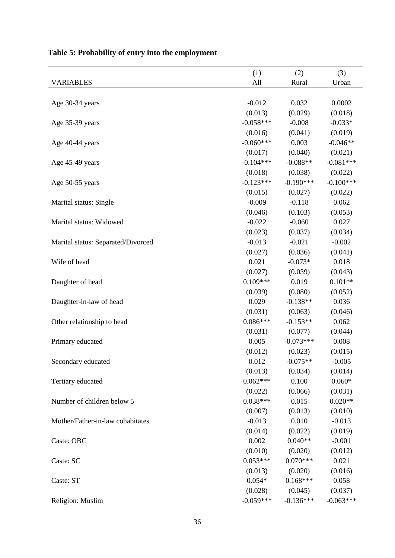|                                    | (1)         | (2)         | (3)         |
|------------------------------------|-------------|-------------|-------------|
| <b>VARIABLES</b>                   | All         | Rural       | Urban       |
|                                    |             |             |             |
| Age 30-34 years                    | $-0.012$    | 0.032       | 0.0002      |
|                                    | (0.013)     | (0.029)     | (0.018)     |
| Age 35-39 years                    | $-0.058***$ | $-0.008$    | $-0.033*$   |
|                                    | (0.016)     | (0.041)     | (0.019)     |
| Age 40-44 years                    | $-0.060***$ | 0.003       | $-0.046**$  |
|                                    | (0.017)     | (0.040)     | (0.021)     |
| Age 45-49 years                    | $-0.104***$ | $-0.088**$  | $-0.081***$ |
|                                    | (0.018)     | (0.038)     | (0.022)     |
| Age 50-55 years                    | $-0.123***$ | $-0.190***$ | $-0.100***$ |
|                                    | (0.015)     | (0.027)     | (0.022)     |
| Marital status: Single             | $-0.009$    | $-0.118$    | 0.062       |
|                                    | (0.046)     | (0.103)     | (0.053)     |
| Marital status: Widowed            | $-0.022$    | $-0.060$    | 0.027       |
|                                    | (0.023)     | (0.037)     | (0.034)     |
| Marital status: Separated/Divorced | $-0.013$    | $-0.021$    | $-0.002$    |
|                                    | (0.027)     | (0.036)     | (0.041)     |
| Wife of head                       | 0.021       | $-0.073*$   | 0.018       |
|                                    | (0.027)     | (0.039)     | (0.043)     |
| Daughter of head                   | $0.109***$  | 0.019       | $0.101**$   |
|                                    | (0.039)     | (0.080)     | (0.052)     |
| Daughter-in-law of head            | 0.029       | $-0.138**$  | 0.036       |
|                                    | (0.031)     | (0.063)     | (0.046)     |
| Other relationship to head         | $0.086***$  | $-0.153**$  | 0.062       |
|                                    | (0.031)     | (0.077)     | (0.044)     |
| Primary educated                   | 0.005       | $-0.073***$ | 0.008       |
|                                    | (0.012)     | (0.023)     | (0.015)     |
| Secondary educated                 | 0.012       | $-0.075**$  | $-0.005$    |
|                                    | (0.013)     | (0.034)     | (0.014)     |
| Tertiary educated                  | $0.062***$  | 0.100       | $0.060*$    |
|                                    | (0.022)     | (0.066)     | (0.031)     |
| Number of children below 5         | $0.038***$  | 0.015       | $0.020**$   |
|                                    | (0.007)     | (0.013)     | (0.010)     |
| Mother/Father-in-law cohabitates   | $-0.013$    | 0.010       | $-0.013$    |
|                                    | (0.014)     | (0.022)     | (0.019)     |
| Caste: OBC                         | 0.002       | $0.040**$   | $-0.001$    |
|                                    | (0.010)     | (0.020)     | (0.012)     |
| Caste: SC                          | $0.053***$  | $0.070***$  | 0.021       |
|                                    | (0.013)     | (0.020)     | (0.016)     |
| Caste: ST                          | $0.054*$    | $0.168***$  | 0.058       |
|                                    | (0.028)     | (0.045)     | (0.037)     |
| Religion: Muslim                   | $-0.059***$ | $-0.136***$ | $-0.063***$ |

## **Table 5: Probability of entry into the employment**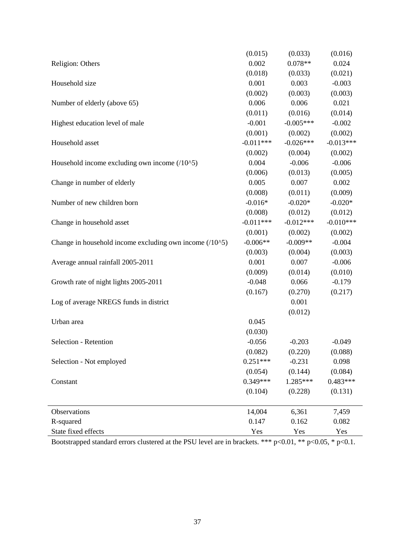|                                                          | (0.015)     | (0.033)     | (0.016)     |
|----------------------------------------------------------|-------------|-------------|-------------|
| Religion: Others                                         | 0.002       | $0.078**$   | 0.024       |
|                                                          | (0.018)     | (0.033)     | (0.021)     |
| Household size                                           | 0.001       | 0.003       | $-0.003$    |
|                                                          | (0.002)     | (0.003)     | (0.003)     |
| Number of elderly (above 65)                             | 0.006       | 0.006       | 0.021       |
|                                                          | (0.011)     | (0.016)     | (0.014)     |
| Highest education level of male                          | $-0.001$    | $-0.005***$ | $-0.002$    |
|                                                          | (0.001)     | (0.002)     | (0.002)     |
| Household asset                                          | $-0.011***$ | $-0.026***$ | $-0.013***$ |
|                                                          | (0.002)     | (0.004)     | (0.002)     |
| Household income excluding own income $(1005)$           | 0.004       | $-0.006$    | $-0.006$    |
|                                                          | (0.006)     | (0.013)     | (0.005)     |
| Change in number of elderly                              | 0.005       | 0.007       | 0.002       |
|                                                          | (0.008)     | (0.011)     | (0.009)     |
| Number of new children born                              | $-0.016*$   | $-0.020*$   | $-0.020*$   |
|                                                          | (0.008)     | (0.012)     | (0.012)     |
| Change in household asset                                | $-0.011***$ | $-0.012***$ | $-0.010***$ |
|                                                          | (0.001)     | (0.002)     | (0.002)     |
| Change in household income excluding own income $(1015)$ | $-0.006**$  | $-0.009**$  | $-0.004$    |
|                                                          | (0.003)     | (0.004)     | (0.003)     |
| Average annual rainfall 2005-2011                        | 0.001       | 0.007       | $-0.006$    |
|                                                          | (0.009)     | (0.014)     | (0.010)     |
| Growth rate of night lights 2005-2011                    | $-0.048$    | 0.066       | $-0.179$    |
|                                                          | (0.167)     | (0.270)     | (0.217)     |
| Log of average NREGS funds in district                   |             | 0.001       |             |
|                                                          |             | (0.012)     |             |
| Urban area                                               | 0.045       |             |             |
|                                                          | (0.030)     |             |             |
| Selection - Retention                                    | $-0.056$    | $-0.203$    | $-0.049$    |
|                                                          | (0.082)     | (0.220)     | (0.088)     |
| Selection - Not employed                                 | $0.251***$  | $-0.231$    | 0.098       |
|                                                          | (0.054)     | (0.144)     | (0.084)     |
| Constant                                                 | $0.349***$  | 1.285***    | $0.483***$  |
|                                                          | (0.104)     | (0.228)     | (0.131)     |
| Observations                                             | 14,004      | 6,361       | 7,459       |
| R-squared                                                | 0.147       | 0.162       | 0.082       |
| State fixed effects                                      | Yes         | Yes         | Yes         |

Bootstrapped standard errors clustered at the PSU level are in brackets. \*\*\* p<0.01, \*\* p<0.05, \* p<0.1.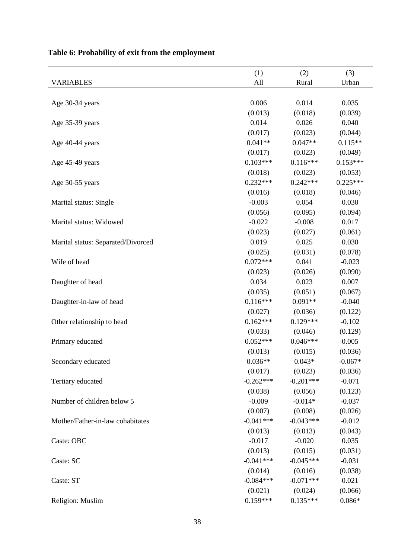|                                    | (1)         | (2)         | (3)        |
|------------------------------------|-------------|-------------|------------|
| <b>VARIABLES</b>                   | All         | Rural       | Urban      |
|                                    |             |             |            |
| Age 30-34 years                    | 0.006       | 0.014       | 0.035      |
|                                    | (0.013)     | (0.018)     | (0.039)    |
| Age 35-39 years                    | 0.014       | 0.026       | 0.040      |
|                                    | (0.017)     | (0.023)     | (0.044)    |
| Age 40-44 years                    | $0.041**$   | $0.047**$   | $0.115**$  |
|                                    | (0.017)     | (0.023)     | (0.049)    |
| Age 45-49 years                    | $0.103***$  | $0.116***$  | $0.153***$ |
|                                    | (0.018)     | (0.023)     | (0.053)    |
| Age 50-55 years                    | $0.232***$  | $0.242***$  | $0.225***$ |
|                                    | (0.016)     | (0.018)     | (0.046)    |
| Marital status: Single             | $-0.003$    | 0.054       | 0.030      |
|                                    | (0.056)     | (0.095)     | (0.094)    |
| Marital status: Widowed            | $-0.022$    | $-0.008$    | 0.017      |
|                                    | (0.023)     | (0.027)     | (0.061)    |
| Marital status: Separated/Divorced | 0.019       | 0.025       | 0.030      |
|                                    | (0.025)     | (0.031)     | (0.078)    |
| Wife of head                       | $0.072***$  | 0.041       | $-0.023$   |
|                                    | (0.023)     | (0.026)     | (0.090)    |
| Daughter of head                   | 0.034       | 0.023       | 0.007      |
|                                    | (0.035)     | (0.051)     | (0.067)    |
| Daughter-in-law of head            | $0.116***$  | $0.091**$   | $-0.040$   |
|                                    | (0.027)     | (0.036)     | (0.122)    |
| Other relationship to head         | $0.162***$  | $0.129***$  | $-0.102$   |
|                                    | (0.033)     | (0.046)     | (0.129)    |
| Primary educated                   | $0.052***$  | $0.046***$  | 0.005      |
|                                    | (0.013)     | (0.015)     | (0.036)    |
| Secondary educated                 | $0.036**$   | $0.043*$    | $-0.067*$  |
|                                    | (0.017)     | (0.023)     | (0.036)    |
| Tertiary educated                  | $-0.262***$ | $-0.201***$ | $-0.071$   |
|                                    | (0.038)     | (0.056)     | (0.123)    |
| Number of children below 5         | $-0.009$    | $-0.014*$   | $-0.037$   |
|                                    | (0.007)     | (0.008)     | (0.026)    |
| Mother/Father-in-law cohabitates   | $-0.041***$ | $-0.043***$ | $-0.012$   |
|                                    | (0.013)     | (0.013)     | (0.043)    |
| Caste: OBC                         | $-0.017$    | $-0.020$    | 0.035      |
|                                    | (0.013)     | (0.015)     | (0.031)    |
| Caste: SC                          | $-0.041***$ | $-0.045***$ | $-0.031$   |
|                                    | (0.014)     | (0.016)     | (0.038)    |
| Caste: ST                          | $-0.084***$ | $-0.071***$ | 0.021      |
|                                    | (0.021)     | (0.024)     | (0.066)    |
| Religion: Muslim                   | $0.159***$  | $0.135***$  | $0.086*$   |

## **Table 6: Probability of exit from the employment**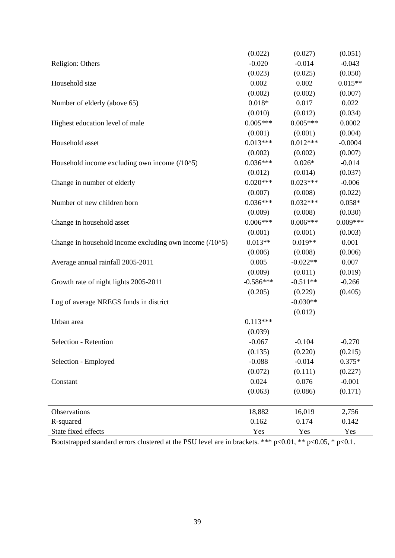|                                                          | (0.022)     | (0.027)    | (0.051)    |
|----------------------------------------------------------|-------------|------------|------------|
| Religion: Others                                         | $-0.020$    | $-0.014$   | $-0.043$   |
|                                                          | (0.023)     | (0.025)    | (0.050)    |
| Household size                                           | 0.002       | 0.002      | $0.015**$  |
|                                                          | (0.002)     | (0.002)    | (0.007)    |
| Number of elderly (above 65)                             | $0.018*$    | 0.017      | 0.022      |
|                                                          | (0.010)     | (0.012)    | (0.034)    |
| Highest education level of male                          | $0.005***$  | $0.005***$ | 0.0002     |
|                                                          | (0.001)     | (0.001)    | (0.004)    |
| Household asset                                          | $0.013***$  | $0.012***$ | $-0.0004$  |
|                                                          | (0.002)     | (0.002)    | (0.007)    |
| Household income excluding own income $(1005)$           | $0.036***$  | $0.026*$   | $-0.014$   |
|                                                          | (0.012)     | (0.014)    | (0.037)    |
| Change in number of elderly                              | $0.020***$  | $0.023***$ | $-0.006$   |
|                                                          | (0.007)     | (0.008)    | (0.022)    |
| Number of new children born                              | $0.036***$  | $0.032***$ | $0.058*$   |
|                                                          | (0.009)     | (0.008)    | (0.030)    |
| Change in household asset                                | $0.006***$  | $0.006***$ | $0.009***$ |
|                                                          | (0.001)     | (0.001)    | (0.003)    |
| Change in household income excluding own income $(1015)$ | $0.013**$   | $0.019**$  | 0.001      |
|                                                          | (0.006)     | (0.008)    | (0.006)    |
| Average annual rainfall 2005-2011                        | 0.005       | $-0.022**$ | 0.007      |
|                                                          | (0.009)     | (0.011)    | (0.019)    |
| Growth rate of night lights 2005-2011                    | $-0.586***$ | $-0.511**$ | $-0.266$   |
|                                                          | (0.205)     | (0.229)    | (0.405)    |
| Log of average NREGS funds in district                   |             | $-0.030**$ |            |
|                                                          |             | (0.012)    |            |
| Urban area                                               | $0.113***$  |            |            |
|                                                          | (0.039)     |            |            |
| Selection - Retention                                    | $-0.067$    | $-0.104$   | $-0.270$   |
|                                                          | (0.135)     | (0.220)    | (0.215)    |
| Selection - Employed                                     | $-0.088$    | $-0.014$   | $0.375*$   |
|                                                          | (0.072)     | (0.111)    | (0.227)    |
| Constant                                                 | 0.024       | 0.076      | $-0.001$   |
|                                                          | (0.063)     | (0.086)    | (0.171)    |
| Observations                                             | 18,882      | 16,019     | 2,756      |
| R-squared                                                | 0.162       | 0.174      | 0.142      |
| State fixed effects                                      | Yes         | Yes        | Yes        |

Bootstrapped standard errors clustered at the PSU level are in brackets. \*\*\* p<0.01, \*\* p<0.05, \* p<0.1.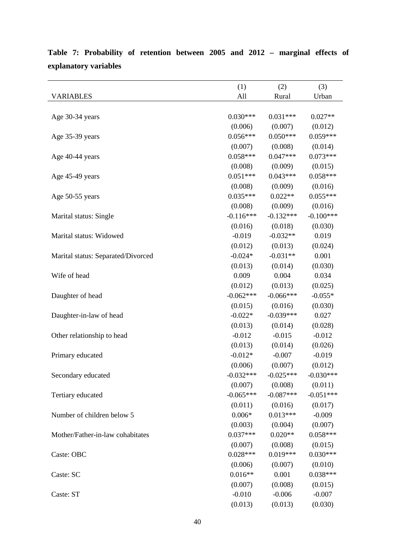|                                    | (1)         | (2)         | (3)         |
|------------------------------------|-------------|-------------|-------------|
| <b>VARIABLES</b>                   | All         | Rural       | Urban       |
|                                    |             |             |             |
| Age 30-34 years                    | $0.030***$  | $0.031***$  | $0.027**$   |
|                                    | (0.006)     | (0.007)     | (0.012)     |
| Age 35-39 years                    | $0.056***$  | $0.050***$  | $0.059***$  |
|                                    | (0.007)     | (0.008)     | (0.014)     |
| Age 40-44 years                    | $0.058***$  | $0.047***$  | $0.073***$  |
|                                    | (0.008)     | (0.009)     | (0.015)     |
| Age 45-49 years                    | $0.051***$  | $0.043***$  | $0.058***$  |
|                                    | (0.008)     | (0.009)     | (0.016)     |
| Age 50-55 years                    | $0.035***$  | $0.022**$   | $0.055***$  |
|                                    | (0.008)     | (0.009)     | (0.016)     |
| Marital status: Single             | $-0.116***$ | $-0.132***$ | $-0.100***$ |
|                                    | (0.016)     | (0.018)     | (0.030)     |
| Marital status: Widowed            | $-0.019$    | $-0.032**$  | 0.019       |
|                                    | (0.012)     | (0.013)     | (0.024)     |
| Marital status: Separated/Divorced | $-0.024*$   | $-0.031**$  | 0.001       |
|                                    | (0.013)     | (0.014)     | (0.030)     |
| Wife of head                       | 0.009       | 0.004       | 0.034       |
|                                    | (0.012)     | (0.013)     | (0.025)     |
| Daughter of head                   | $-0.062***$ | $-0.066***$ | $-0.055*$   |
|                                    | (0.015)     | (0.016)     | (0.030)     |
| Daughter-in-law of head            | $-0.022*$   | $-0.039***$ | 0.027       |
|                                    | (0.013)     | (0.014)     | (0.028)     |
| Other relationship to head         | $-0.012$    | $-0.015$    | $-0.012$    |
|                                    | (0.013)     | (0.014)     | (0.026)     |
| Primary educated                   | $-0.012*$   | $-0.007$    | $-0.019$    |
|                                    | (0.006)     | (0.007)     | (0.012)     |
| Secondary educated                 | $-0.032***$ | $-0.025***$ | $-0.030***$ |
|                                    | (0.007)     | (0.008)     | (0.011)     |
| Tertiary educated                  | $-0.065***$ | $-0.087***$ | $-0.051***$ |
|                                    | (0.011)     | (0.016)     | (0.017)     |
| Number of children below 5         | $0.006*$    | $0.013***$  | $-0.009$    |
|                                    | (0.003)     | (0.004)     | (0.007)     |
| Mother/Father-in-law cohabitates   | $0.037***$  | $0.020**$   | $0.058***$  |
|                                    | (0.007)     | (0.008)     | (0.015)     |
| Caste: OBC                         | $0.028***$  | $0.019***$  | $0.030***$  |
|                                    | (0.006)     | (0.007)     | (0.010)     |
| Caste: SC                          | $0.016**$   | 0.001       | $0.038***$  |
|                                    | (0.007)     | (0.008)     | (0.015)     |
| Caste: ST                          | $-0.010$    | $-0.006$    | $-0.007$    |
|                                    | (0.013)     | (0.013)     | (0.030)     |

**Table 7: Probability of retention between 2005 and 2012 – marginal effects of explanatory variables**